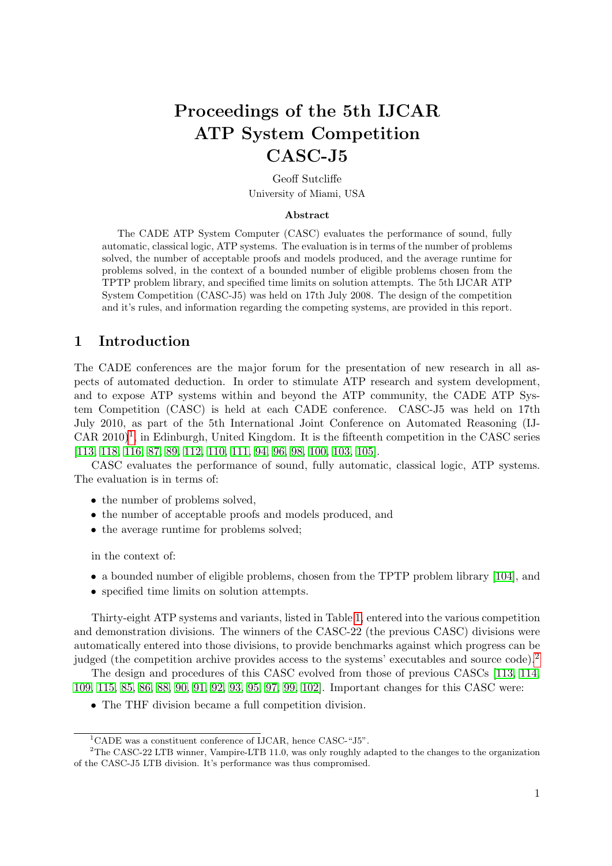# Proceedings of the 5th IJCAR ATP System Competition CASC-J5

Geoff Sutcliffe University of Miami, USA

#### Abstract

The CADE ATP System Computer (CASC) evaluates the performance of sound, fully automatic, classical logic, ATP systems. The evaluation is in terms of the number of problems solved, the number of acceptable proofs and models produced, and the average runtime for problems solved, in the context of a bounded number of eligible problems chosen from the TPTP problem library, and specified time limits on solution attempts. The 5th IJCAR ATP System Competition (CASC-J5) was held on 17th July 2008. The design of the competition and it's rules, and information regarding the competing systems, are provided in this report.

# 1 Introduction

The CADE conferences are the major forum for the presentation of new research in all aspects of automated deduction. In order to stimulate ATP research and system development, and to expose ATP systems within and beyond the ATP community, the CADE ATP System Competition (CASC) is held at each CADE conference. CASC-J5 was held on 17th July 2010, as part of the 5th International Joint Conference on Automated Reasoning (IJ- $CAR$  2010)<sup>1</sup>, in Edinburgh, United Kingdom. It is the fifteenth competition in the CASC series [\[113,](#page-44-0) [118,](#page-44-1) [116,](#page-44-2) [87,](#page-43-0) [89,](#page-43-1) [112,](#page-44-3) [110,](#page-43-2) [111,](#page-44-4) [94,](#page-43-3) [96,](#page-43-4) [98,](#page-43-5) [100,](#page-43-6) [103,](#page-43-7) [105\]](#page-43-8).

CASC evaluates the performance of sound, fully automatic, classical logic, ATP systems. The evaluation is in terms of:

- the number of problems solved,
- the number of acceptable proofs and models produced, and
- the average runtime for problems solved;

in the context of:

- a bounded number of eligible problems, chosen from the TPTP problem library [\[104\]](#page-43-9), and
- specified time limits on solution attempts.

Thirty-eight ATP systems and variants, listed in Table [1,](#page-1-0) entered into the various competition and demonstration divisions. The winners of the CASC-22 (the previous CASC) divisions were automatically entered into those divisions, to provide benchmarks against which progress can be judged (the competition archive provides access to the systems' executables and source code).<sup>2</sup>

The design and procedures of this CASC evolved from those of previous CASCs [\[113,](#page-44-0) [114,](#page-44-5) [109,](#page-43-10) [115,](#page-44-6) [85,](#page-43-11) [86,](#page-43-12) [88,](#page-43-13) [90,](#page-43-14) [91,](#page-43-15) [92,](#page-43-16) [93,](#page-43-17) [95,](#page-43-18) [97,](#page-43-19) [99,](#page-43-20) [102\]](#page-43-21). Important changes for this CASC were:

• The THF division became a full competition division.

 $1$ CADE was a constituent conference of IJCAR, hence CASC-"J5".

<sup>&</sup>lt;sup>2</sup>The CASC-22 LTB winner, Vampire-LTB 11.0, was only roughly adapted to the changes to the organization of the CASC-J5 LTB division. It's performance was thus compromised.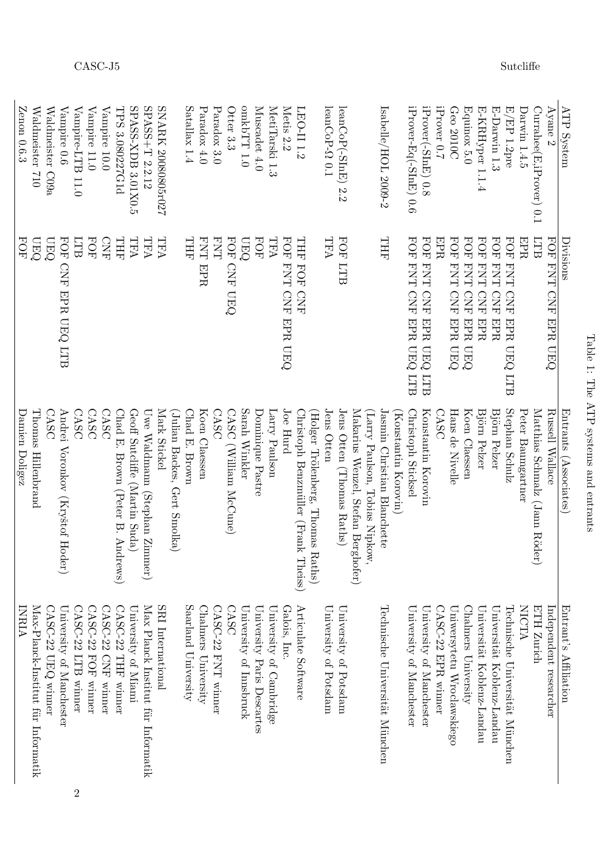| I<br>ーくーく<br>י<br>י                                                  |
|----------------------------------------------------------------------|
| ļ<br>$\frac{1}{2}$                                                   |
| $\frac{1}{1}$                                                        |
| てーてくりしき                                                              |
| $-17$<br>֪ׅ֖֚֚֚֚֚֚֚֚֚֚֚֚֚֚֚֚֚֡֡֓֡֡֓֡֟֓֡֡֬֝֬֝֓֞֟֓֡֬֓֓֞֡֡֬֓֓֞֡֡֬֓֓֞֓֞֡ |
| $-200 - 200 - 120$                                                   |

<span id="page-1-0"></span>

| ATP System              | Divisions                                                       | Entrants (Associates)                           | Enterant's Affilation                |                |
|-------------------------|-----------------------------------------------------------------|-------------------------------------------------|--------------------------------------|----------------|
| Ayane $2$               | FOR FINH CIRE ENDING                                            | Russell Wallace                                 | Independent researcher               |                |
| Currahee(E,iProver) 0.1 | ETB                                                             | Matthias Schmalz (Jann Röder)                   | <b>ETH Zurich</b>                    |                |
| Darwin 1.4.5            | EPR                                                             | Peter Baumgartner                               | NICTA                                |                |
| $E/EP$ 1.2pre           | <b>FOF</b><br><b>FNT</b><br><b>CNE</b><br><b>EPR</b><br>UEQ LTB | Stephan Schulz                                  | Fechnische Universität München       |                |
| E-Darwin 1.3            | FOF FNH<br>C <sub>NE</sub><br>EPR                               | Björn Pelzer                                    | Universität Koblenz-Landau           |                |
| E-KRHyper 1.1.4         | <b>POE FNH</b><br><b>CNE</b><br><b>EPR</b>                      | Björn Pelzer                                    | Universität Koblenz-Landau           |                |
| Equinox 5.0             | FOF FNH<br><b>CNF EPR</b><br><b>UEQ</b>                         | Koen Claessen                                   | Chalmers University                  |                |
| Geo 2010C               | FOF FNH<br>CNF EPR UEQ                                          | Hans de Nivelle                                 | Uniwersytetu Wroclawskiego           |                |
| iProver 0.7             | EPR                                                             | CASC                                            | $CASSC$ -22 EPR winner               |                |
| iProver(-SInE) 0.8      | <b>POE FNT</b><br>CNF EPR UEQ LTB                               | Konstantin Korovin                              | University of Manchester             |                |
| iProver-Eq(-SInE) 0.6   | FOR ENT CRE EPRO LTB                                            | Christoph Sticksel                              | University of Manchester             |                |
|                         |                                                                 | Konstantin Korovin)                             |                                      |                |
| Isabelle/HOL 2009-2     | THH                                                             | Jasmin Christian Blanchette                     | Technische Universität München       |                |
|                         |                                                                 | Larry Paulson, Tobias Nipkow,                   |                                      |                |
|                         |                                                                 | Makarius Wenzel, Stefan Berg<br>hofer)          |                                      |                |
| $leanCoP(-SInE)$ 2.2    | <b>FOR LTB</b>                                                  | Jens Otten (Thomas Raths)                       | University of Potsdam                |                |
| leanCoP- $\Omega$ 0.1   | TFA                                                             | Jens Otten<br>(Holger Trölenberg, Thomas Raths) | University of Potsdam                |                |
| LEO-II 1.2              | THT<br>HOH<br>CNF                                               | Christoph Benzmüller (Frank Theiss)             | Articulate Software                  |                |
| Metis 2.2               | <b>FOF</b><br>HNH<br>CNF EPR UEQ                                | Joe Hurd                                        | Galois, Inc.                         |                |
| MetiTarski 1.3          | TFA                                                             | Larry Paulson                                   | University of Cambridge              |                |
| Muscadet 4.0            | <b>FOF</b>                                                      | Dominique Pastre                                | University Paris Descartes           |                |
| O.ITTdxho               | <b>UEQ</b>                                                      | Sarah Winkler                                   | University of Innsbruck              |                |
| Otter 3.3               | <b>FOF</b><br><b>CNF UEQ</b>                                    | CASC (William McCune)                           | CASC                                 |                |
| Paradox 3.0             | ENT                                                             | CASC                                            | $\mathrm{CASC}\text{-}22$ FNT winner |                |
| Paradox 4.0             | <b>FNT</b><br>EPR                                               | Koen Claessen                                   | Chalmers University                  |                |
| Satallax 1.4            | THE                                                             | Chad E. Brown                                   | Saarland University                  |                |
|                         |                                                                 | (Julian Backes, Gert Smolka)                    |                                      |                |
| SNARK 20080805r027      | <b>TFA</b>                                                      | Mark Stickel                                    | SRI International                    |                |
| $SPASS+T 2.2.12$        | TFA                                                             | Uwe Waldmann (Stephan Zimmer)                   | Max Planck Institut für Informatik   |                |
| SPASS-XDB 3.01X0.5      | TFA                                                             | Geoff Sutcliffe (Martin Suda)                   | University of Miami                  |                |
| TPS 3.080227G1d         | THT                                                             | Chad E. Brown (Peter B. Andrews)                | CASC-22 THF winner                   |                |
| Vampire 10.0            | <b>CNE</b>                                                      | CASC                                            | CASC-22 CNF winner                   |                |
| Vampire 11.0            | <b>FOF</b>                                                      | CASC                                            | $CASC$ -22 FOF winner                |                |
| Vampire-LTB 11.0        | LTB                                                             | CASC                                            | CASC-22 LTB winner                   | $\overline{2}$ |
| Vampire 0.6             | FOR CNE RPR CENT CORD                                           | Andrei<br>Voronkov (Kryštof Hoder)              | University of Manchester             |                |
| Waldmeister C09a        | <b>DEO</b>                                                      | CASC                                            | CASC-22 UEQ winner                   |                |
| Waldmeister<br>012      | <b>DEO</b>                                                      | Thomas Hillenbrand                              | Max-Planck-Institut für Informatik   |                |
| Zenon 0.6.3             | FOF                                                             | Danien Doligez                                  | LNRIA                                |                |

 $\begin{array}{lll} \text{CASC-J5} \end{array} \begin{array}{lll} \text{Suclei} \end{array}$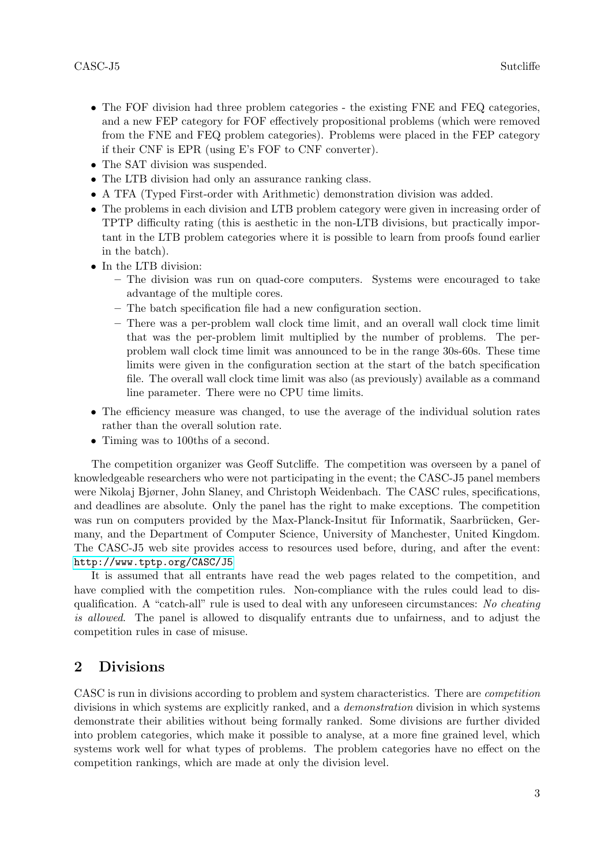- The FOF division had three problem categories the existing FNE and FEQ categories, and a new FEP category for FOF effectively propositional problems (which were removed from the FNE and FEQ problem categories). Problems were placed in the FEP category if their CNF is EPR (using E's FOF to CNF converter).
- The SAT division was suspended.
- The LTB division had only an assurance ranking class.
- A TFA (Typed First-order with Arithmetic) demonstration division was added.
- The problems in each division and LTB problem category were given in increasing order of TPTP difficulty rating (this is aesthetic in the non-LTB divisions, but practically important in the LTB problem categories where it is possible to learn from proofs found earlier in the batch).
- In the LTB division:
	- The division was run on quad-core computers. Systems were encouraged to take advantage of the multiple cores.
	- The batch specification file had a new configuration section.
	- There was a per-problem wall clock time limit, and an overall wall clock time limit that was the per-problem limit multiplied by the number of problems. The perproblem wall clock time limit was announced to be in the range 30s-60s. These time limits were given in the configuration section at the start of the batch specification file. The overall wall clock time limit was also (as previously) available as a command line parameter. There were no CPU time limits.
- The efficiency measure was changed, to use the average of the individual solution rates rather than the overall solution rate.
- Timing was to 100ths of a second.

The competition organizer was Geoff Sutcliffe. The competition was overseen by a panel of knowledgeable researchers who were not participating in the event; the CASC-J5 panel members were Nikolaj Bjørner, John Slaney, and Christoph Weidenbach. The CASC rules, specifications, and deadlines are absolute. Only the panel has the right to make exceptions. The competition was run on computers provided by the Max-Planck-Insitut für Informatik, Saarbrücken, Germany, and the Department of Computer Science, University of Manchester, United Kingdom. The CASC-J5 web site provides access to resources used before, during, and after the event: <http://www.tptp.org/CASC/J5>

It is assumed that all entrants have read the web pages related to the competition, and have complied with the competition rules. Non-compliance with the rules could lead to disqualification. A "catch-all" rule is used to deal with any unforeseen circumstances: No cheating is allowed. The panel is allowed to disqualify entrants due to unfairness, and to adjust the competition rules in case of misuse.

# 2 Divisions

CASC is run in divisions according to problem and system characteristics. There are competition divisions in which systems are explicitly ranked, and a demonstration division in which systems demonstrate their abilities without being formally ranked. Some divisions are further divided into problem categories, which make it possible to analyse, at a more fine grained level, which systems work well for what types of problems. The problem categories have no effect on the competition rankings, which are made at only the division level.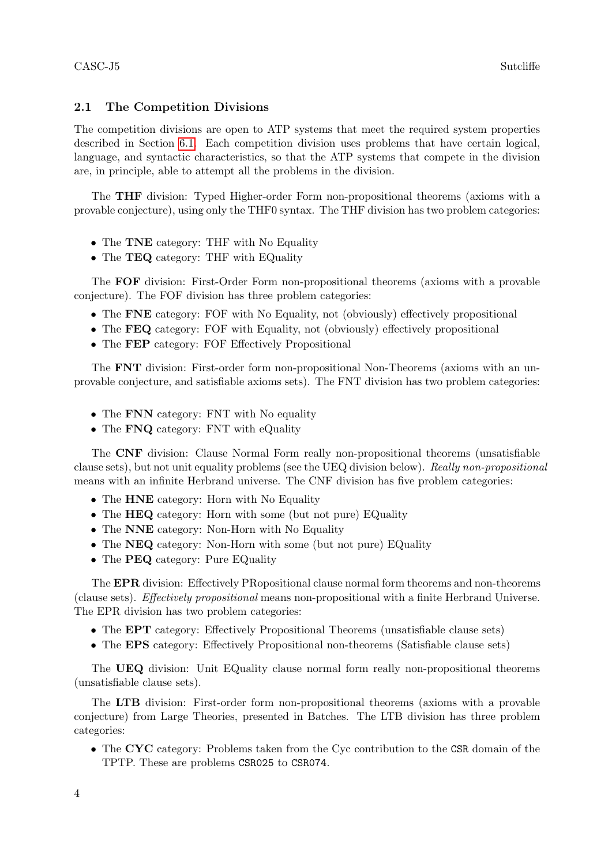# 2.1 The Competition Divisions

The competition divisions are open to ATP systems that meet the required system properties described in Section [6.1.](#page-9-0) Each competition division uses problems that have certain logical, language, and syntactic characteristics, so that the ATP systems that compete in the division are, in principle, able to attempt all the problems in the division.

The THF division: Typed Higher-order Form non-propositional theorems (axioms with a provable conjecture), using only the THF0 syntax. The THF division has two problem categories:

- The TNE category: THF with No Equality
- The **TEQ** category: THF with EQuality

The FOF division: First-Order Form non-propositional theorems (axioms with a provable conjecture). The FOF division has three problem categories:

- The FNE category: FOF with No Equality, not (obviously) effectively propositional
- The FEQ category: FOF with Equality, not (obviously) effectively propositional
- The **FEP** category: FOF Effectively Propositional

The FNT division: First-order form non-propositional Non-Theorems (axioms with an unprovable conjecture, and satisfiable axioms sets). The FNT division has two problem categories:

- The **FNN** category: FNT with No equality
- The **FNQ** category: FNT with eQuality

The CNF division: Clause Normal Form really non-propositional theorems (unsatisfiable clause sets), but not unit equality problems (see the UEQ division below). Really non-propositional means with an infinite Herbrand universe. The CNF division has five problem categories:

- The **HNE** category: Horn with No Equality
- The **HEQ** category: Horn with some (but not pure) EQuality
- The NNE category: Non-Horn with No Equality
- The NEQ category: Non-Horn with some (but not pure) EQuality
- The **PEQ** category: Pure EQuality

The EPR division: Effectively PRopositional clause normal form theorems and non-theorems (clause sets). Effectively propositional means non-propositional with a finite Herbrand Universe. The EPR division has two problem categories:

- The EPT category: Effectively Propositional Theorems (unsatisfiable clause sets)
- The EPS category: Effectively Propositional non-theorems (Satisfiable clause sets)

The UEQ division: Unit EQuality clause normal form really non-propositional theorems (unsatisfiable clause sets).

The LTB division: First-order form non-propositional theorems (axioms with a provable conjecture) from Large Theories, presented in Batches. The LTB division has three problem categories:

• The CYC category: Problems taken from the Cyc contribution to the CSR domain of the TPTP. These are problems CSR025 to CSR074.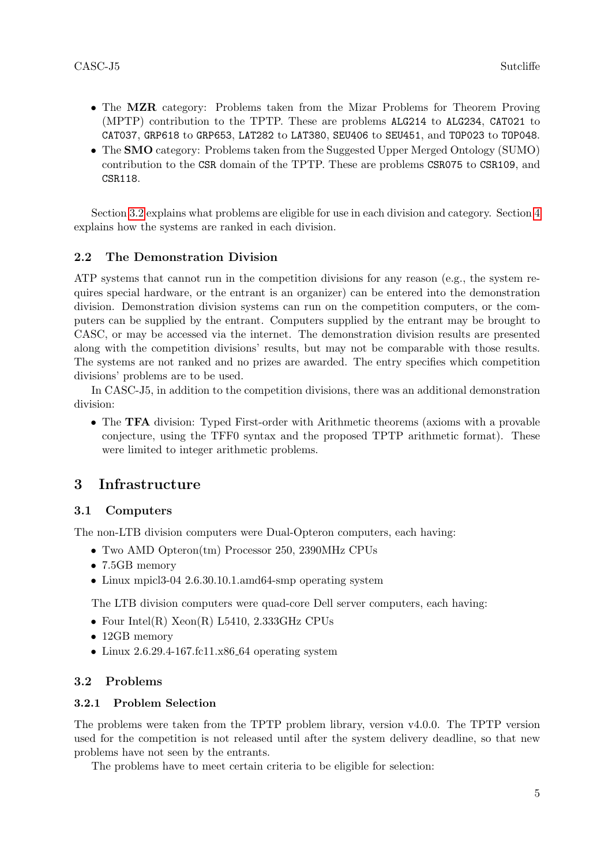- The MZR category: Problems taken from the Mizar Problems for Theorem Proving (MPTP) contribution to the TPTP. These are problems ALG214 to ALG234, CAT021 to CAT037, GRP618 to GRP653, LAT282 to LAT380, SEU406 to SEU451, and TOP023 to TOP048.
- The SMO category: Problems taken from the Suggested Upper Merged Ontology (SUMO) contribution to the CSR domain of the TPTP. These are problems CSR075 to CSR109, and CSR118.

Section [3.2](#page-4-0) explains what problems are eligible for use in each division and category. Section [4](#page-7-0) explains how the systems are ranked in each division.

# 2.2 The Demonstration Division

ATP systems that cannot run in the competition divisions for any reason (e.g., the system requires special hardware, or the entrant is an organizer) can be entered into the demonstration division. Demonstration division systems can run on the competition computers, or the computers can be supplied by the entrant. Computers supplied by the entrant may be brought to CASC, or may be accessed via the internet. The demonstration division results are presented along with the competition divisions' results, but may not be comparable with those results. The systems are not ranked and no prizes are awarded. The entry specifies which competition divisions' problems are to be used.

In CASC-J5, in addition to the competition divisions, there was an additional demonstration division:

• The TFA division: Typed First-order with Arithmetic theorems (axioms with a provable conjecture, using the TFF0 syntax and the proposed TPTP arithmetic format). These were limited to integer arithmetic problems.

# 3 Infrastructure

# <span id="page-4-1"></span>3.1 Computers

The non-LTB division computers were Dual-Opteron computers, each having:

- Two AMD Opteron(tm) Processor 250, 2390MHz CPUs
- 7.5GB memory
- Linux mpicl3-04 2.6.30.10.1.amd64-smp operating system

The LTB division computers were quad-core Dell server computers, each having:

- Four Intel(R) Xeon(R) L5410, 2.333GHz CPUs
- 12GB memory
- Linux 2.6.29.4-167.fc11.x86.64 operating system

# <span id="page-4-0"></span>3.2 Problems

# 3.2.1 Problem Selection

The problems were taken from the TPTP problem library, version v4.0.0. The TPTP version used for the competition is not released until after the system delivery deadline, so that new problems have not seen by the entrants.

The problems have to meet certain criteria to be eligible for selection: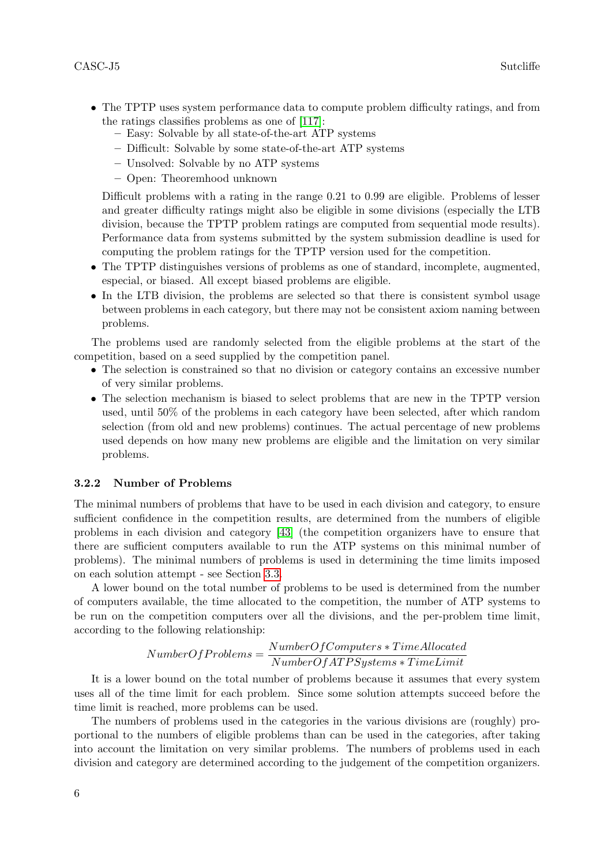- The TPTP uses system performance data to compute problem difficulty ratings, and from the ratings classifies problems as one of [\[117\]](#page-44-7):
	- Easy: Solvable by all state-of-the-art ATP systems
	- Difficult: Solvable by some state-of-the-art ATP systems
	- Unsolved: Solvable by no ATP systems
	- Open: Theoremhood unknown

Difficult problems with a rating in the range 0.21 to 0.99 are eligible. Problems of lesser and greater difficulty ratings might also be eligible in some divisions (especially the LTB division, because the TPTP problem ratings are computed from sequential mode results). Performance data from systems submitted by the system submission deadline is used for computing the problem ratings for the TPTP version used for the competition.

- The TPTP distinguishes versions of problems as one of standard, incomplete, augmented, especial, or biased. All except biased problems are eligible.
- In the LTB division, the problems are selected so that there is consistent symbol usage between problems in each category, but there may not be consistent axiom naming between problems.

The problems used are randomly selected from the eligible problems at the start of the competition, based on a seed supplied by the competition panel.

- The selection is constrained so that no division or category contains an excessive number of very similar problems.
- The selection mechanism is biased to select problems that are new in the TPTP version used, until 50% of the problems in each category have been selected, after which random selection (from old and new problems) continues. The actual percentage of new problems used depends on how many new problems are eligible and the limitation on very similar problems.

#### 3.2.2 Number of Problems

The minimal numbers of problems that have to be used in each division and category, to ensure sufficient confidence in the competition results, are determined from the numbers of eligible problems in each division and category [\[43\]](#page-40-0) (the competition organizers have to ensure that there are sufficient computers available to run the ATP systems on this minimal number of problems). The minimal numbers of problems is used in determining the time limits imposed on each solution attempt - see Section [3.3.](#page-6-0)

A lower bound on the total number of problems to be used is determined from the number of computers available, the time allocated to the competition, the number of ATP systems to be run on the competition computers over all the divisions, and the per-problem time limit, according to the following relationship:

# $NumberOfProblems = \frac{NumberOfComputers * TimeAllocated}{N.11 \cdot Q. (ATDC)}$  $NumberOfATPSystems * TimeLimit$

It is a lower bound on the total number of problems because it assumes that every system uses all of the time limit for each problem. Since some solution attempts succeed before the time limit is reached, more problems can be used.

The numbers of problems used in the categories in the various divisions are (roughly) proportional to the numbers of eligible problems than can be used in the categories, after taking into account the limitation on very similar problems. The numbers of problems used in each division and category are determined according to the judgement of the competition organizers.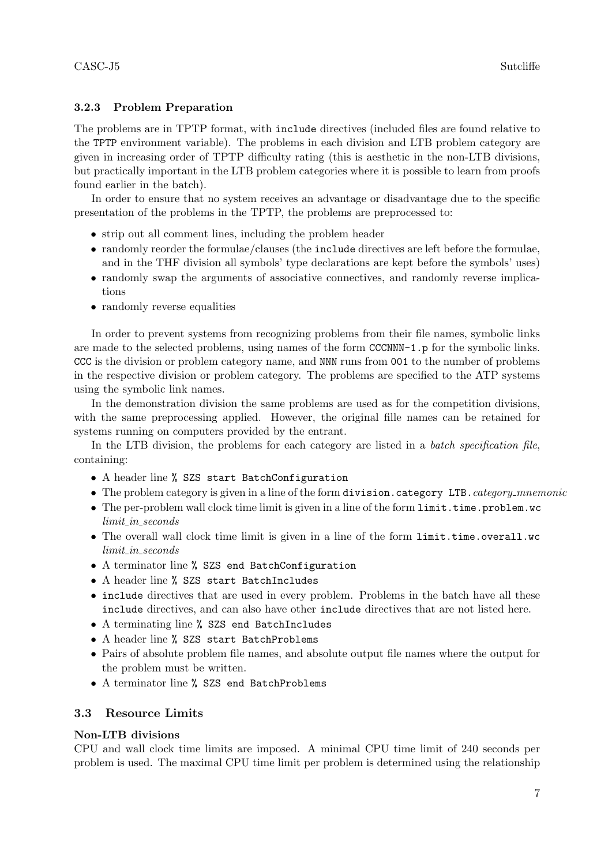# 3.2.3 Problem Preparation

The problems are in TPTP format, with include directives (included files are found relative to the TPTP environment variable). The problems in each division and LTB problem category are given in increasing order of TPTP difficulty rating (this is aesthetic in the non-LTB divisions, but practically important in the LTB problem categories where it is possible to learn from proofs found earlier in the batch).

In order to ensure that no system receives an advantage or disadvantage due to the specific presentation of the problems in the TPTP, the problems are preprocessed to:

- strip out all comment lines, including the problem header
- randomly reorder the formulae/clauses (the include directives are left before the formulae, and in the THF division all symbols' type declarations are kept before the symbols' uses)
- randomly swap the arguments of associative connectives, and randomly reverse implications
- randomly reverse equalities

In order to prevent systems from recognizing problems from their file names, symbolic links are made to the selected problems, using names of the form CCCNNN-1.p for the symbolic links. CCC is the division or problem category name, and NNN runs from 001 to the number of problems in the respective division or problem category. The problems are specified to the ATP systems using the symbolic link names.

In the demonstration division the same problems are used as for the competition divisions, with the same preprocessing applied. However, the original fille names can be retained for systems running on computers provided by the entrant.

In the LTB division, the problems for each category are listed in a *batch specification file*, containing:

- A header line % SZS start BatchConfiguration
- The problem category is given in a line of the form division.category LTB.category\_mnemonic
- The per-problem wall clock time limit is given in a line of the form limit.time.problem.wc limit\_in\_seconds
- The overall wall clock time limit is given in a line of the form limit.time.overall.wc  $limit\_in\_seconds$
- A terminator line % SZS end BatchConfiguration
- A header line % SZS start BatchIncludes
- include directives that are used in every problem. Problems in the batch have all these include directives, and can also have other include directives that are not listed here.
- A terminating line % SZS end BatchIncludes
- A header line % SZS start BatchProblems
- Pairs of absolute problem file names, and absolute output file names where the output for the problem must be written.
- A terminator line % SZS end BatchProblems

# <span id="page-6-0"></span>3.3 Resource Limits

# Non-LTB divisions

CPU and wall clock time limits are imposed. A minimal CPU time limit of 240 seconds per problem is used. The maximal CPU time limit per problem is determined using the relationship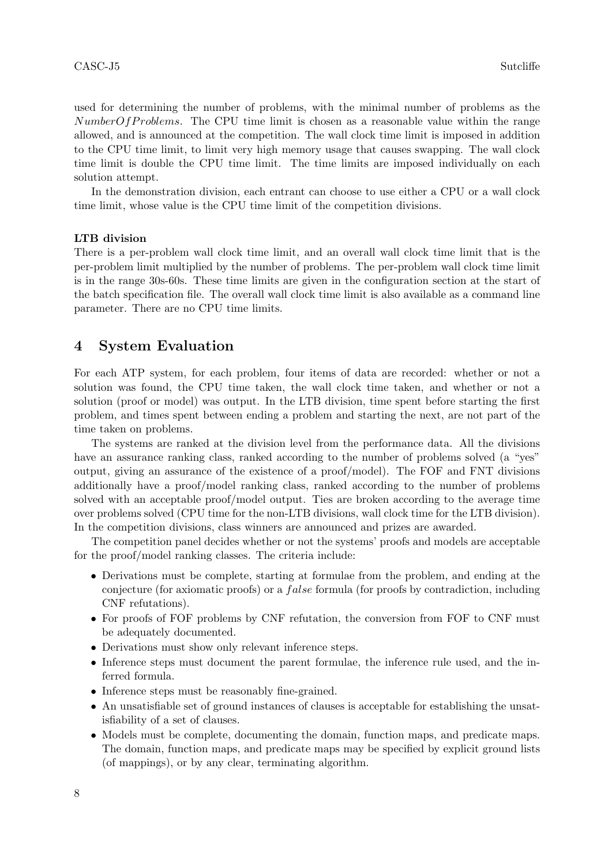used for determining the number of problems, with the minimal number of problems as the  $NumberOf Problems$ . The CPU time limit is chosen as a reasonable value within the range allowed, and is announced at the competition. The wall clock time limit is imposed in addition to the CPU time limit, to limit very high memory usage that causes swapping. The wall clock time limit is double the CPU time limit. The time limits are imposed individually on each solution attempt.

In the demonstration division, each entrant can choose to use either a CPU or a wall clock time limit, whose value is the CPU time limit of the competition divisions.

#### LTB division

There is a per-problem wall clock time limit, and an overall wall clock time limit that is the per-problem limit multiplied by the number of problems. The per-problem wall clock time limit is in the range 30s-60s. These time limits are given in the configuration section at the start of the batch specification file. The overall wall clock time limit is also available as a command line parameter. There are no CPU time limits.

# <span id="page-7-0"></span>4 System Evaluation

For each ATP system, for each problem, four items of data are recorded: whether or not a solution was found, the CPU time taken, the wall clock time taken, and whether or not a solution (proof or model) was output. In the LTB division, time spent before starting the first problem, and times spent between ending a problem and starting the next, are not part of the time taken on problems.

The systems are ranked at the division level from the performance data. All the divisions have an assurance ranking class, ranked according to the number of problems solved (a "yes" output, giving an assurance of the existence of a proof/model). The FOF and FNT divisions additionally have a proof/model ranking class, ranked according to the number of problems solved with an acceptable proof/model output. Ties are broken according to the average time over problems solved (CPU time for the non-LTB divisions, wall clock time for the LTB division). In the competition divisions, class winners are announced and prizes are awarded.

The competition panel decides whether or not the systems' proofs and models are acceptable for the proof/model ranking classes. The criteria include:

- Derivations must be complete, starting at formulae from the problem, and ending at the conjecture (for axiomatic proofs) or a *false* formula (for proofs by contradiction, including CNF refutations).
- For proofs of FOF problems by CNF refutation, the conversion from FOF to CNF must be adequately documented.
- Derivations must show only relevant inference steps.
- Inference steps must document the parent formulae, the inference rule used, and the inferred formula.
- Inference steps must be reasonably fine-grained.
- An unsatisfiable set of ground instances of clauses is acceptable for establishing the unsatisfiability of a set of clauses.
- Models must be complete, documenting the domain, function maps, and predicate maps. The domain, function maps, and predicate maps may be specified by explicit ground lists (of mappings), or by any clear, terminating algorithm.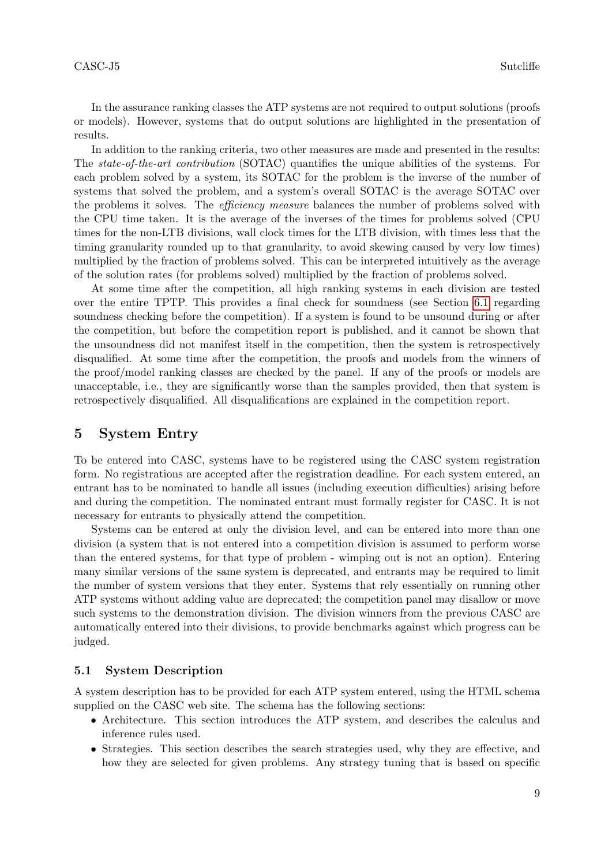In the assurance ranking classes the ATP systems are not required to output solutions (proofs or models). However, systems that do output solutions are highlighted in the presentation of results.

In addition to the ranking criteria, two other measures are made and presented in the results: The state-of-the-art contribution (SOTAC) quantifies the unique abilities of the systems. For each problem solved by a system, its SOTAC for the problem is the inverse of the number of systems that solved the problem, and a system's overall SOTAC is the average SOTAC over the problems it solves. The *efficiency measure* balances the number of problems solved with the CPU time taken. It is the average of the inverses of the times for problems solved (CPU times for the non-LTB divisions, wall clock times for the LTB division, with times less that the timing granularity rounded up to that granularity, to avoid skewing caused by very low times) multiplied by the fraction of problems solved. This can be interpreted intuitively as the average of the solution rates (for problems solved) multiplied by the fraction of problems solved.

At some time after the competition, all high ranking systems in each division are tested over the entire TPTP. This provides a final check for soundness (see Section [6.1](#page-9-0) regarding soundness checking before the competition). If a system is found to be unsound during or after the competition, but before the competition report is published, and it cannot be shown that the unsoundness did not manifest itself in the competition, then the system is retrospectively disqualified. At some time after the competition, the proofs and models from the winners of the proof/model ranking classes are checked by the panel. If any of the proofs or models are unacceptable, i.e., they are significantly worse than the samples provided, then that system is retrospectively disqualified. All disqualifications are explained in the competition report.

# 5 System Entry

To be entered into CASC, systems have to be registered using the CASC system registration form. No registrations are accepted after the registration deadline. For each system entered, an entrant has to be nominated to handle all issues (including execution difficulties) arising before and during the competition. The nominated entrant must formally register for CASC. It is not necessary for entrants to physically attend the competition.

Systems can be entered at only the division level, and can be entered into more than one division (a system that is not entered into a competition division is assumed to perform worse than the entered systems, for that type of problem - wimping out is not an option). Entering many similar versions of the same system is deprecated, and entrants may be required to limit the number of system versions that they enter. Systems that rely essentially on running other ATP systems without adding value are deprecated; the competition panel may disallow or move such systems to the demonstration division. The division winners from the previous CASC are automatically entered into their divisions, to provide benchmarks against which progress can be judged.

### 5.1 System Description

A system description has to be provided for each ATP system entered, using the HTML schema supplied on the CASC web site. The schema has the following sections:

- Architecture. This section introduces the ATP system, and describes the calculus and inference rules used.
- Strategies. This section describes the search strategies used, why they are effective, and how they are selected for given problems. Any strategy tuning that is based on specific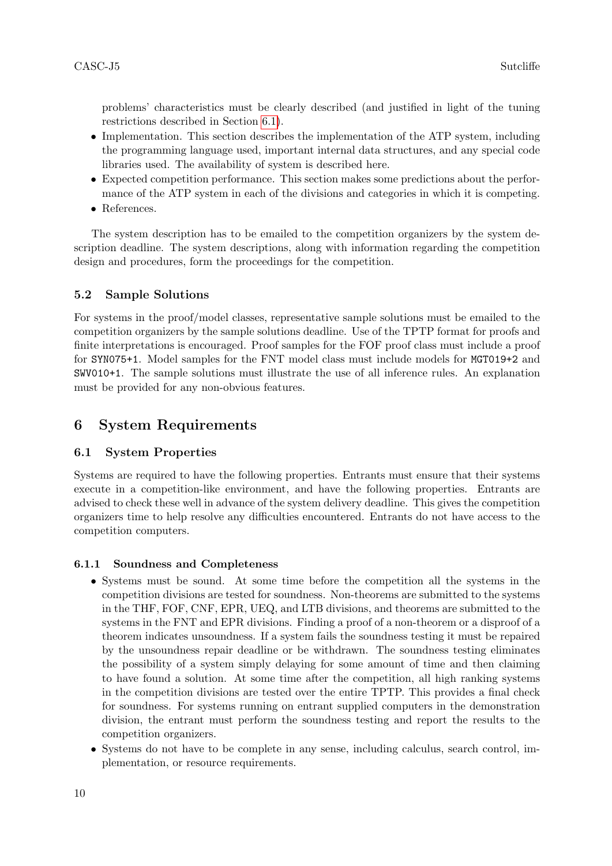problems' characteristics must be clearly described (and justified in light of the tuning restrictions described in Section [6.1\)](#page-9-0).

- Implementation. This section describes the implementation of the ATP system, including the programming language used, important internal data structures, and any special code libraries used. The availability of system is described here.
- Expected competition performance. This section makes some predictions about the performance of the ATP system in each of the divisions and categories in which it is competing.
- References.

The system description has to be emailed to the competition organizers by the system description deadline. The system descriptions, along with information regarding the competition design and procedures, form the proceedings for the competition.

# 5.2 Sample Solutions

For systems in the proof/model classes, representative sample solutions must be emailed to the competition organizers by the sample solutions deadline. Use of the TPTP format for proofs and finite interpretations is encouraged. Proof samples for the FOF proof class must include a proof for SYN075+1. Model samples for the FNT model class must include models for MGT019+2 and SWV010+1. The sample solutions must illustrate the use of all inference rules. An explanation must be provided for any non-obvious features.

# 6 System Requirements

# <span id="page-9-0"></span>6.1 System Properties

Systems are required to have the following properties. Entrants must ensure that their systems execute in a competition-like environment, and have the following properties. Entrants are advised to check these well in advance of the system delivery deadline. This gives the competition organizers time to help resolve any difficulties encountered. Entrants do not have access to the competition computers.

# 6.1.1 Soundness and Completeness

- Systems must be sound. At some time before the competition all the systems in the competition divisions are tested for soundness. Non-theorems are submitted to the systems in the THF, FOF, CNF, EPR, UEQ, and LTB divisions, and theorems are submitted to the systems in the FNT and EPR divisions. Finding a proof of a non-theorem or a disproof of a theorem indicates unsoundness. If a system fails the soundness testing it must be repaired by the unsoundness repair deadline or be withdrawn. The soundness testing eliminates the possibility of a system simply delaying for some amount of time and then claiming to have found a solution. At some time after the competition, all high ranking systems in the competition divisions are tested over the entire TPTP. This provides a final check for soundness. For systems running on entrant supplied computers in the demonstration division, the entrant must perform the soundness testing and report the results to the competition organizers.
- Systems do not have to be complete in any sense, including calculus, search control, implementation, or resource requirements.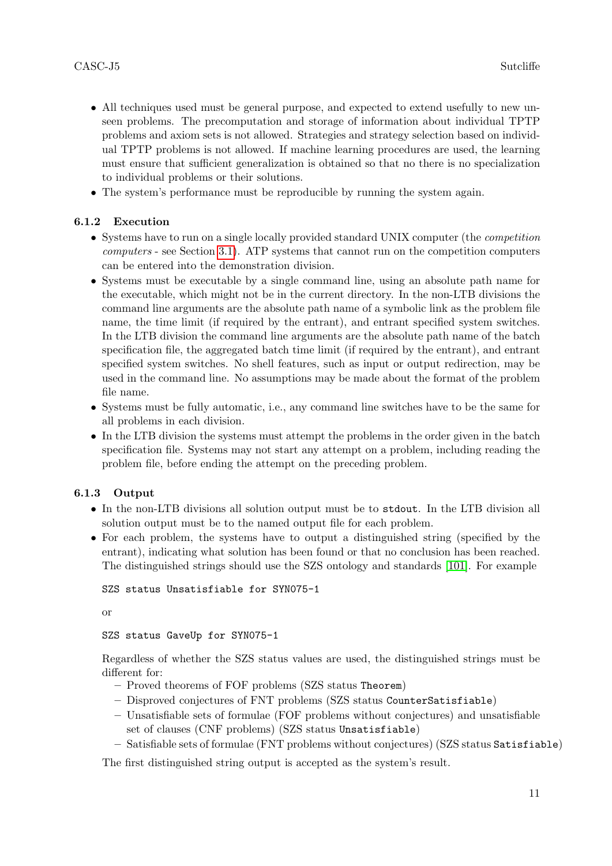- All techniques used must be general purpose, and expected to extend usefully to new unseen problems. The precomputation and storage of information about individual TPTP problems and axiom sets is not allowed. Strategies and strategy selection based on individual TPTP problems is not allowed. If machine learning procedures are used, the learning must ensure that sufficient generalization is obtained so that no there is no specialization to individual problems or their solutions.
- The system's performance must be reproducible by running the system again.

# 6.1.2 Execution

- Systems have to run on a single locally provided standard UNIX computer (the *competition* computers - see Section [3.1\)](#page-4-1). ATP systems that cannot run on the competition computers can be entered into the demonstration division.
- Systems must be executable by a single command line, using an absolute path name for the executable, which might not be in the current directory. In the non-LTB divisions the command line arguments are the absolute path name of a symbolic link as the problem file name, the time limit (if required by the entrant), and entrant specified system switches. In the LTB division the command line arguments are the absolute path name of the batch specification file, the aggregated batch time limit (if required by the entrant), and entrant specified system switches. No shell features, such as input or output redirection, may be used in the command line. No assumptions may be made about the format of the problem file name.
- Systems must be fully automatic, i.e., any command line switches have to be the same for all problems in each division.
- In the LTB division the systems must attempt the problems in the order given in the batch specification file. Systems may not start any attempt on a problem, including reading the problem file, before ending the attempt on the preceding problem.

# 6.1.3 Output

- In the non-LTB divisions all solution output must be to stdout. In the LTB division all solution output must be to the named output file for each problem.
- For each problem, the systems have to output a distinguished string (specified by the entrant), indicating what solution has been found or that no conclusion has been reached. The distinguished strings should use the SZS ontology and standards [\[101\]](#page-43-22). For example

SZS status Unsatisfiable for SYN075-1

or

SZS status GaveUp for SYN075-1

Regardless of whether the SZS status values are used, the distinguished strings must be different for:

- Proved theorems of FOF problems (SZS status Theorem)
- Disproved conjectures of FNT problems (SZS status CounterSatisfiable)
- Unsatisfiable sets of formulae (FOF problems without conjectures) and unsatisfiable set of clauses (CNF problems) (SZS status Unsatisfiable)
- Satisfiable sets of formulae (FNT problems without conjectures) (SZS status Satisfiable)

The first distinguished string output is accepted as the system's result.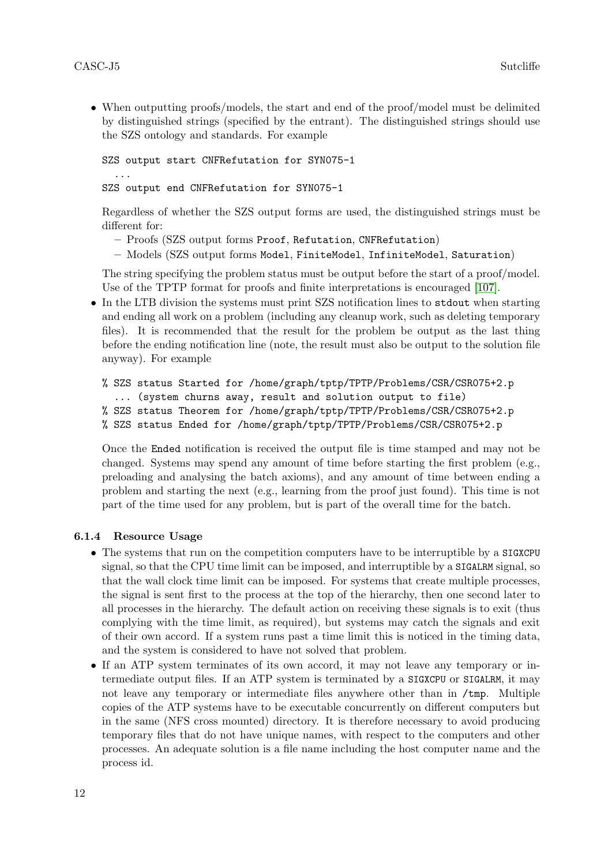• When outputting proofs/models, the start and end of the proof/model must be delimited by distinguished strings (specified by the entrant). The distinguished strings should use the SZS ontology and standards. For example

SZS output start CNFRefutation for SYN075-1 ... SZS output end CNFRefutation for SYN075-1

Regardless of whether the SZS output forms are used, the distinguished strings must be different for:

- Proofs (SZS output forms Proof, Refutation, CNFRefutation)
- Models (SZS output forms Model, FiniteModel, InfiniteModel, Saturation)

The string specifying the problem status must be output before the start of a proof/model. Use of the TPTP format for proofs and finite interpretations is encouraged [\[107\]](#page-43-23).

• In the LTB division the systems must print SZS notification lines to stdout when starting and ending all work on a problem (including any cleanup work, such as deleting temporary files). It is recommended that the result for the problem be output as the last thing before the ending notification line (note, the result must also be output to the solution file anyway). For example

```
% SZS status Started for /home/graph/tptp/TPTP/Problems/CSR/CSR075+2.p
  ... (system churns away, result and solution output to file)
% SZS status Theorem for /home/graph/tptp/TPTP/Problems/CSR/CSR075+2.p
% SZS status Ended for /home/graph/tptp/TPTP/Problems/CSR/CSR075+2.p
```
Once the Ended notification is received the output file is time stamped and may not be changed. Systems may spend any amount of time before starting the first problem (e.g., preloading and analysing the batch axioms), and any amount of time between ending a problem and starting the next (e.g., learning from the proof just found). This time is not part of the time used for any problem, but is part of the overall time for the batch.

# 6.1.4 Resource Usage

- The systems that run on the competition computers have to be interruptible by a SIGXCPU signal, so that the CPU time limit can be imposed, and interruptible by a SIGALRM signal, so that the wall clock time limit can be imposed. For systems that create multiple processes, the signal is sent first to the process at the top of the hierarchy, then one second later to all processes in the hierarchy. The default action on receiving these signals is to exit (thus complying with the time limit, as required), but systems may catch the signals and exit of their own accord. If a system runs past a time limit this is noticed in the timing data, and the system is considered to have not solved that problem.
- If an ATP system terminates of its own accord, it may not leave any temporary or intermediate output files. If an ATP system is terminated by a SIGXCPU or SIGALRM, it may not leave any temporary or intermediate files anywhere other than in  $/\text{tmp}$ . Multiple copies of the ATP systems have to be executable concurrently on different computers but in the same (NFS cross mounted) directory. It is therefore necessary to avoid producing temporary files that do not have unique names, with respect to the computers and other processes. An adequate solution is a file name including the host computer name and the process id.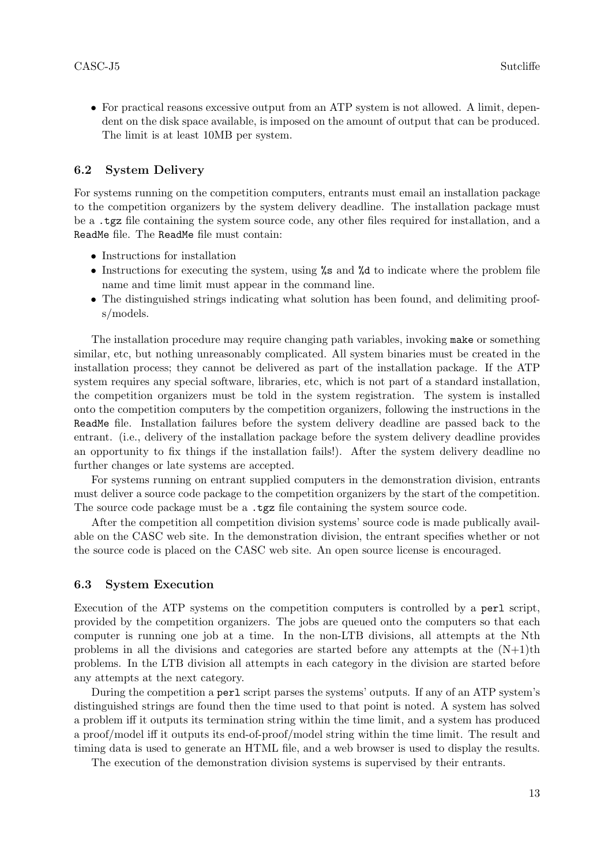• For practical reasons excessive output from an ATP system is not allowed. A limit, dependent on the disk space available, is imposed on the amount of output that can be produced. The limit is at least 10MB per system.

#### 6.2 System Delivery

For systems running on the competition computers, entrants must email an installation package to the competition organizers by the system delivery deadline. The installation package must be a .tgz file containing the system source code, any other files required for installation, and a ReadMe file. The ReadMe file must contain:

- Instructions for installation
- Instructions for executing the system, using %s and %d to indicate where the problem file name and time limit must appear in the command line.
- The distinguished strings indicating what solution has been found, and delimiting proofs/models.

The installation procedure may require changing path variables, invoking make or something similar, etc, but nothing unreasonably complicated. All system binaries must be created in the installation process; they cannot be delivered as part of the installation package. If the ATP system requires any special software, libraries, etc, which is not part of a standard installation, the competition organizers must be told in the system registration. The system is installed onto the competition computers by the competition organizers, following the instructions in the ReadMe file. Installation failures before the system delivery deadline are passed back to the entrant. (i.e., delivery of the installation package before the system delivery deadline provides an opportunity to fix things if the installation fails!). After the system delivery deadline no further changes or late systems are accepted.

For systems running on entrant supplied computers in the demonstration division, entrants must deliver a source code package to the competition organizers by the start of the competition. The source code package must be a  $\texttt{.tgz}$  file containing the system source code.

After the competition all competition division systems' source code is made publically available on the CASC web site. In the demonstration division, the entrant specifies whether or not the source code is placed on the CASC web site. An open source license is encouraged.

#### 6.3 System Execution

Execution of the ATP systems on the competition computers is controlled by a perl script, provided by the competition organizers. The jobs are queued onto the computers so that each computer is running one job at a time. In the non-LTB divisions, all attempts at the Nth problems in all the divisions and categories are started before any attempts at the  $(N+1)$ th problems. In the LTB division all attempts in each category in the division are started before any attempts at the next category.

During the competition a perl script parses the systems' outputs. If any of an ATP system's distinguished strings are found then the time used to that point is noted. A system has solved a problem iff it outputs its termination string within the time limit, and a system has produced a proof/model iff it outputs its end-of-proof/model string within the time limit. The result and timing data is used to generate an HTML file, and a web browser is used to display the results.

The execution of the demonstration division systems is supervised by their entrants.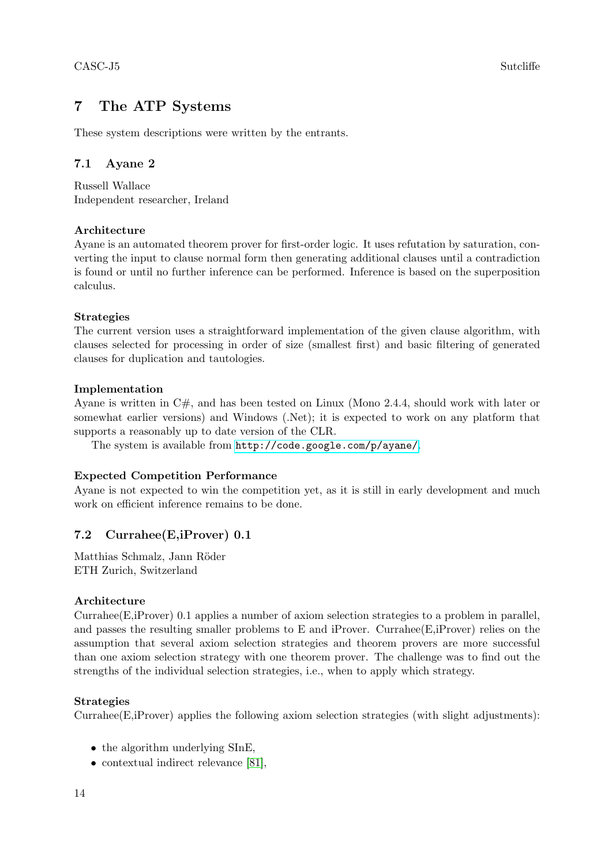# 7 The ATP Systems

These system descriptions were written by the entrants.

# 7.1 Ayane 2

Russell Wallace Independent researcher, Ireland

# Architecture

Ayane is an automated theorem prover for first-order logic. It uses refutation by saturation, converting the input to clause normal form then generating additional clauses until a contradiction is found or until no further inference can be performed. Inference is based on the superposition calculus.

# Strategies

The current version uses a straightforward implementation of the given clause algorithm, with clauses selected for processing in order of size (smallest first) and basic filtering of generated clauses for duplication and tautologies.

# Implementation

Ayane is written in C#, and has been tested on Linux (Mono 2.4.4, should work with later or somewhat earlier versions) and Windows (.Net); it is expected to work on any platform that supports a reasonably up to date version of the CLR.

The system is available from <http://code.google.com/p/ayane/>.

# Expected Competition Performance

Ayane is not expected to win the competition yet, as it is still in early development and much work on efficient inference remains to be done.

# 7.2 Currahee(E,iProver) 0.1

Matthias Schmalz, Jann Röder ETH Zurich, Switzerland

# Architecture

Currahee(E,iProver) 0.1 applies a number of axiom selection strategies to a problem in parallel, and passes the resulting smaller problems to E and iProver. Currahee $(E,iProver)$  relies on the assumption that several axiom selection strategies and theorem provers are more successful than one axiom selection strategy with one theorem prover. The challenge was to find out the strengths of the individual selection strategies, i.e., when to apply which strategy.

# Strategies

Currahee(E,iProver) applies the following axiom selection strategies (with slight adjustments):

- the algorithm underlying SInE,
- contextual indirect relevance [\[81\]](#page-42-0),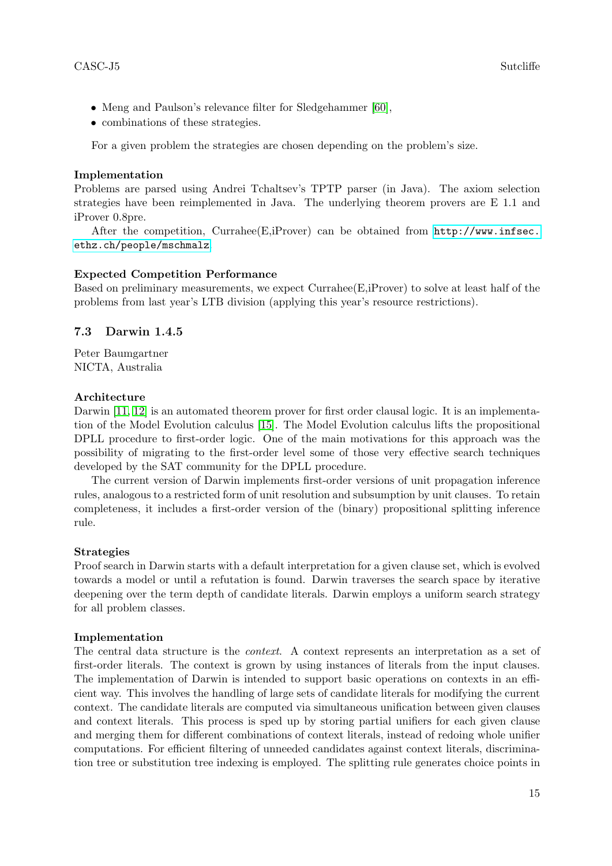- Meng and Paulson's relevance filter for Sledgehammer [\[60\]](#page-41-0),
- combinations of these strategies.

For a given problem the strategies are chosen depending on the problem's size.

# Implementation

Problems are parsed using Andrei Tchaltsev's TPTP parser (in Java). The axiom selection strategies have been reimplemented in Java. The underlying theorem provers are E 1.1 and iProver 0.8pre.

After the competition, Currahee(E,iProver) can be obtained from [http://www.infsec.](http://www.infsec.ethz.ch/people/mschmalz) [ethz.ch/people/mschmalz](http://www.infsec.ethz.ch/people/mschmalz).

# Expected Competition Performance

Based on preliminary measurements, we expect Currahee(E,iProver) to solve at least half of the problems from last year's LTB division (applying this year's resource restrictions).

# 7.3 Darwin 1.4.5

Peter Baumgartner NICTA, Australia

# Architecture

Darwin [\[11,](#page-39-0) [12\]](#page-39-1) is an automated theorem prover for first order clausal logic. It is an implementation of the Model Evolution calculus [\[15\]](#page-39-2). The Model Evolution calculus lifts the propositional DPLL procedure to first-order logic. One of the main motivations for this approach was the possibility of migrating to the first-order level some of those very effective search techniques developed by the SAT community for the DPLL procedure.

The current version of Darwin implements first-order versions of unit propagation inference rules, analogous to a restricted form of unit resolution and subsumption by unit clauses. To retain completeness, it includes a first-order version of the (binary) propositional splitting inference rule.

# Strategies

Proof search in Darwin starts with a default interpretation for a given clause set, which is evolved towards a model or until a refutation is found. Darwin traverses the search space by iterative deepening over the term depth of candidate literals. Darwin employs a uniform search strategy for all problem classes.

# Implementation

The central data structure is the context. A context represents an interpretation as a set of first-order literals. The context is grown by using instances of literals from the input clauses. The implementation of Darwin is intended to support basic operations on contexts in an efficient way. This involves the handling of large sets of candidate literals for modifying the current context. The candidate literals are computed via simultaneous unification between given clauses and context literals. This process is sped up by storing partial unifiers for each given clause and merging them for different combinations of context literals, instead of redoing whole unifier computations. For efficient filtering of unneeded candidates against context literals, discrimination tree or substitution tree indexing is employed. The splitting rule generates choice points in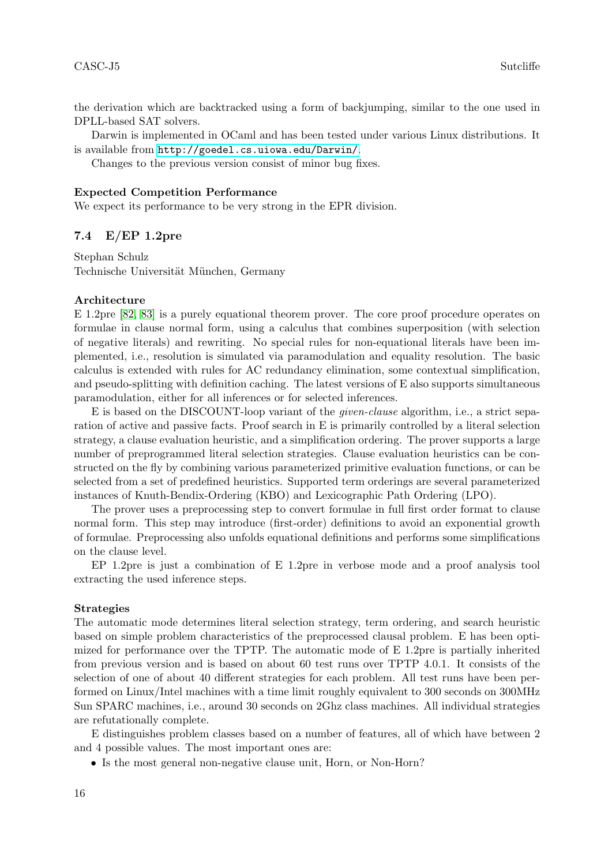the derivation which are backtracked using a form of backjumping, similar to the one used in DPLL-based SAT solvers.

Darwin is implemented in OCaml and has been tested under various Linux distributions. It is available from <http://goedel.cs.uiowa.edu/Darwin/>.

Changes to the previous version consist of minor bug fixes.

#### Expected Competition Performance

We expect its performance to be very strong in the EPR division.

### 7.4 E/EP 1.2pre

Stephan Schulz Technische Universität München, Germany

#### Architecture

E 1.2pre [\[82,](#page-42-1) [83\]](#page-42-2) is a purely equational theorem prover. The core proof procedure operates on formulae in clause normal form, using a calculus that combines superposition (with selection of negative literals) and rewriting. No special rules for non-equational literals have been implemented, i.e., resolution is simulated via paramodulation and equality resolution. The basic calculus is extended with rules for AC redundancy elimination, some contextual simplification, and pseudo-splitting with definition caching. The latest versions of E also supports simultaneous paramodulation, either for all inferences or for selected inferences.

E is based on the DISCOUNT-loop variant of the given-clause algorithm, i.e., a strict separation of active and passive facts. Proof search in E is primarily controlled by a literal selection strategy, a clause evaluation heuristic, and a simplification ordering. The prover supports a large number of preprogrammed literal selection strategies. Clause evaluation heuristics can be constructed on the fly by combining various parameterized primitive evaluation functions, or can be selected from a set of predefined heuristics. Supported term orderings are several parameterized instances of Knuth-Bendix-Ordering (KBO) and Lexicographic Path Ordering (LPO).

The prover uses a preprocessing step to convert formulae in full first order format to clause normal form. This step may introduce (first-order) definitions to avoid an exponential growth of formulae. Preprocessing also unfolds equational definitions and performs some simplifications on the clause level.

EP 1.2pre is just a combination of E 1.2pre in verbose mode and a proof analysis tool extracting the used inference steps.

#### Strategies

The automatic mode determines literal selection strategy, term ordering, and search heuristic based on simple problem characteristics of the preprocessed clausal problem. E has been optimized for performance over the TPTP. The automatic mode of E 1.2pre is partially inherited from previous version and is based on about 60 test runs over TPTP 4.0.1. It consists of the selection of one of about 40 different strategies for each problem. All test runs have been performed on Linux/Intel machines with a time limit roughly equivalent to 300 seconds on 300MHz Sun SPARC machines, i.e., around 30 seconds on 2Ghz class machines. All individual strategies are refutationally complete.

E distinguishes problem classes based on a number of features, all of which have between 2 and 4 possible values. The most important ones are:

• Is the most general non-negative clause unit, Horn, or Non-Horn?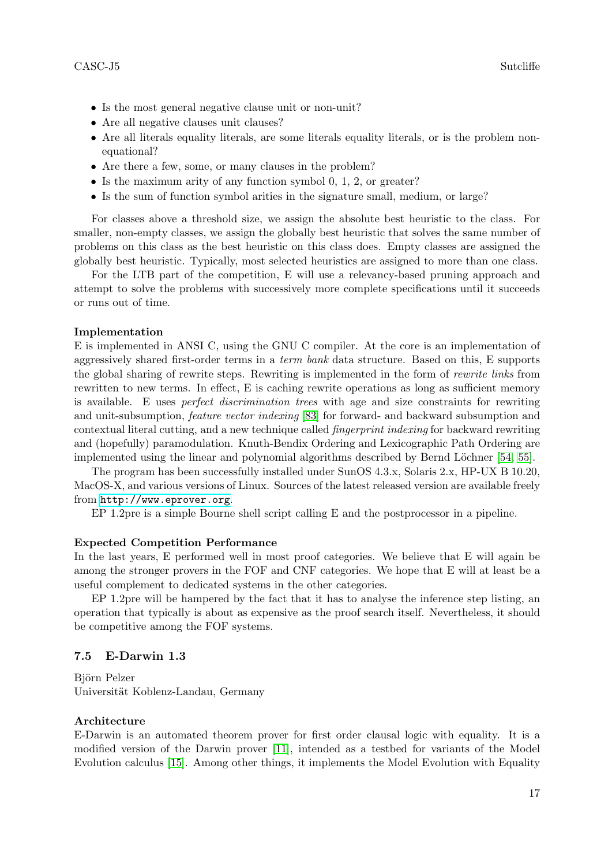- Is the most general negative clause unit or non-unit?
- Are all negative clauses unit clauses?
- Are all literals equality literals, are some literals equality literals, or is the problem nonequational?
- Are there a few, some, or many clauses in the problem?
- Is the maximum arity of any function symbol 0, 1, 2, or greater?
- Is the sum of function symbol arities in the signature small, medium, or large?

For classes above a threshold size, we assign the absolute best heuristic to the class. For smaller, non-empty classes, we assign the globally best heuristic that solves the same number of problems on this class as the best heuristic on this class does. Empty classes are assigned the globally best heuristic. Typically, most selected heuristics are assigned to more than one class.

For the LTB part of the competition, E will use a relevancy-based pruning approach and attempt to solve the problems with successively more complete specifications until it succeeds or runs out of time.

# Implementation

E is implemented in ANSI C, using the GNU C compiler. At the core is an implementation of aggressively shared first-order terms in a term bank data structure. Based on this, E supports the global sharing of rewrite steps. Rewriting is implemented in the form of rewrite links from rewritten to new terms. In effect, E is caching rewrite operations as long as sufficient memory is available. E uses perfect discrimination trees with age and size constraints for rewriting and unit-subsumption, feature vector indexing [\[83\]](#page-42-2) for forward- and backward subsumption and contextual literal cutting, and a new technique called fingerprint indexing for backward rewriting and (hopefully) paramodulation. Knuth-Bendix Ordering and Lexicographic Path Ordering are implemented using the linear and polynomial algorithms described by Bernd Löchner [\[54,](#page-41-1) [55\]](#page-41-2).

The program has been successfully installed under SunOS 4.3.x, Solaris 2.x, HP-UX B 10.20, MacOS-X, and various versions of Linux. Sources of the latest released version are available freely from <http://www.eprover.org>.

EP 1.2pre is a simple Bourne shell script calling E and the postprocessor in a pipeline.

#### Expected Competition Performance

In the last years, E performed well in most proof categories. We believe that E will again be among the stronger provers in the FOF and CNF categories. We hope that E will at least be a useful complement to dedicated systems in the other categories.

EP 1.2pre will be hampered by the fact that it has to analyse the inference step listing, an operation that typically is about as expensive as the proof search itself. Nevertheless, it should be competitive among the FOF systems.

#### 7.5 E-Darwin 1.3

Björn Pelzer Universität Koblenz-Landau, Germany

#### Architecture

E-Darwin is an automated theorem prover for first order clausal logic with equality. It is a modified version of the Darwin prover [\[11\]](#page-39-0), intended as a testbed for variants of the Model Evolution calculus [\[15\]](#page-39-2). Among other things, it implements the Model Evolution with Equality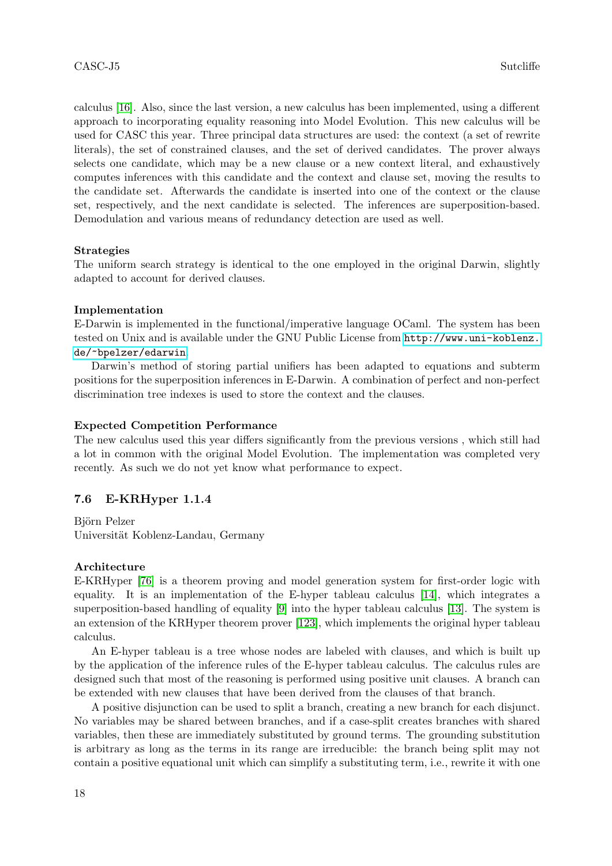calculus [\[16\]](#page-39-3). Also, since the last version, a new calculus has been implemented, using a different approach to incorporating equality reasoning into Model Evolution. This new calculus will be used for CASC this year. Three principal data structures are used: the context (a set of rewrite literals), the set of constrained clauses, and the set of derived candidates. The prover always selects one candidate, which may be a new clause or a new context literal, and exhaustively computes inferences with this candidate and the context and clause set, moving the results to the candidate set. Afterwards the candidate is inserted into one of the context or the clause set, respectively, and the next candidate is selected. The inferences are superposition-based. Demodulation and various means of redundancy detection are used as well.

#### Strategies

The uniform search strategy is identical to the one employed in the original Darwin, slightly adapted to account for derived clauses.

#### Implementation

E-Darwin is implemented in the functional/imperative language OCaml. The system has been tested on Unix and is available under the GNU Public License from [http://www.uni-koblenz.](http://www.uni-koblenz.de/~bpelzer/edarwin) [de/~bpelzer/edarwin](http://www.uni-koblenz.de/~bpelzer/edarwin).

Darwin's method of storing partial unifiers has been adapted to equations and subterm positions for the superposition inferences in E-Darwin. A combination of perfect and non-perfect discrimination tree indexes is used to store the context and the clauses.

#### Expected Competition Performance

The new calculus used this year differs significantly from the previous versions , which still had a lot in common with the original Model Evolution. The implementation was completed very recently. As such we do not yet know what performance to expect.

# 7.6 E-KRHyper 1.1.4

Björn Pelzer Universität Koblenz-Landau, Germany

### Architecture

E-KRHyper [\[76\]](#page-42-3) is a theorem proving and model generation system for first-order logic with equality. It is an implementation of the E-hyper tableau calculus [\[14\]](#page-39-4), which integrates a superposition-based handling of equality [\[9\]](#page-38-0) into the hyper tableau calculus [\[13\]](#page-39-5). The system is an extension of the KRHyper theorem prover [\[123\]](#page-44-8), which implements the original hyper tableau calculus.

An E-hyper tableau is a tree whose nodes are labeled with clauses, and which is built up by the application of the inference rules of the E-hyper tableau calculus. The calculus rules are designed such that most of the reasoning is performed using positive unit clauses. A branch can be extended with new clauses that have been derived from the clauses of that branch.

A positive disjunction can be used to split a branch, creating a new branch for each disjunct. No variables may be shared between branches, and if a case-split creates branches with shared variables, then these are immediately substituted by ground terms. The grounding substitution is arbitrary as long as the terms in its range are irreducible: the branch being split may not contain a positive equational unit which can simplify a substituting term, i.e., rewrite it with one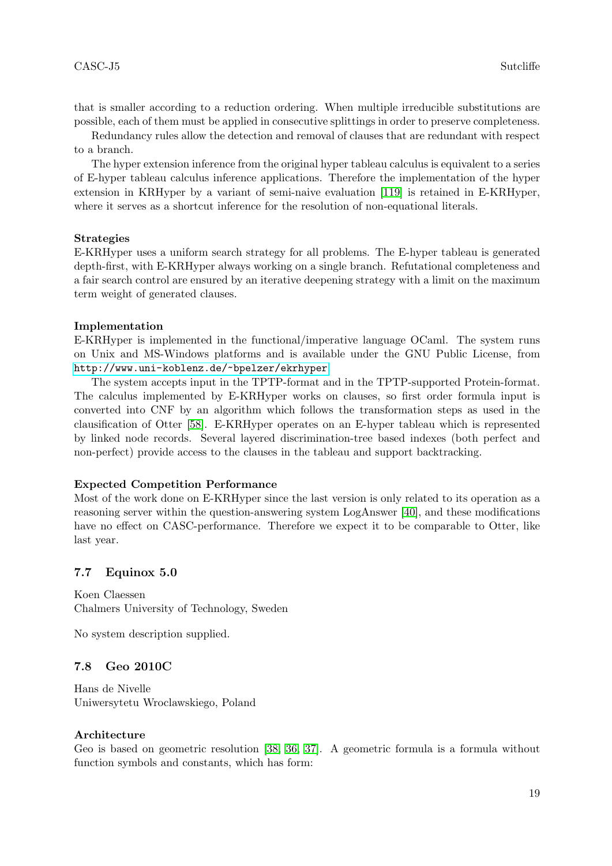that is smaller according to a reduction ordering. When multiple irreducible substitutions are possible, each of them must be applied in consecutive splittings in order to preserve completeness.

Redundancy rules allow the detection and removal of clauses that are redundant with respect to a branch.

The hyper extension inference from the original hyper tableau calculus is equivalent to a series of E-hyper tableau calculus inference applications. Therefore the implementation of the hyper extension in KRHyper by a variant of semi-naive evaluation [\[119\]](#page-44-9) is retained in E-KRHyper, where it serves as a shortcut inference for the resolution of non-equational literals.

#### Strategies

E-KRHyper uses a uniform search strategy for all problems. The E-hyper tableau is generated depth-first, with E-KRHyper always working on a single branch. Refutational completeness and a fair search control are ensured by an iterative deepening strategy with a limit on the maximum term weight of generated clauses.

#### Implementation

E-KRHyper is implemented in the functional/imperative language OCaml. The system runs on Unix and MS-Windows platforms and is available under the GNU Public License, from <http://www.uni-koblenz.de/~bpelzer/ekrhyper>.

The system accepts input in the TPTP-format and in the TPTP-supported Protein-format. The calculus implemented by E-KRHyper works on clauses, so first order formula input is converted into CNF by an algorithm which follows the transformation steps as used in the clausification of Otter [\[58\]](#page-41-3). E-KRHyper operates on an E-hyper tableau which is represented by linked node records. Several layered discrimination-tree based indexes (both perfect and non-perfect) provide access to the clauses in the tableau and support backtracking.

#### Expected Competition Performance

Most of the work done on E-KRHyper since the last version is only related to its operation as a reasoning server within the question-answering system LogAnswer [\[40\]](#page-40-1), and these modifications have no effect on CASC-performance. Therefore we expect it to be comparable to Otter, like last year.

#### 7.7 Equinox 5.0

Koen Claessen Chalmers University of Technology, Sweden

No system description supplied.

#### 7.8 Geo 2010C

Hans de Nivelle Uniwersytetu Wroclawskiego, Poland

#### Architecture

Geo is based on geometric resolution [\[38,](#page-40-2) [36,](#page-40-3) [37\]](#page-40-4). A geometric formula is a formula without function symbols and constants, which has form: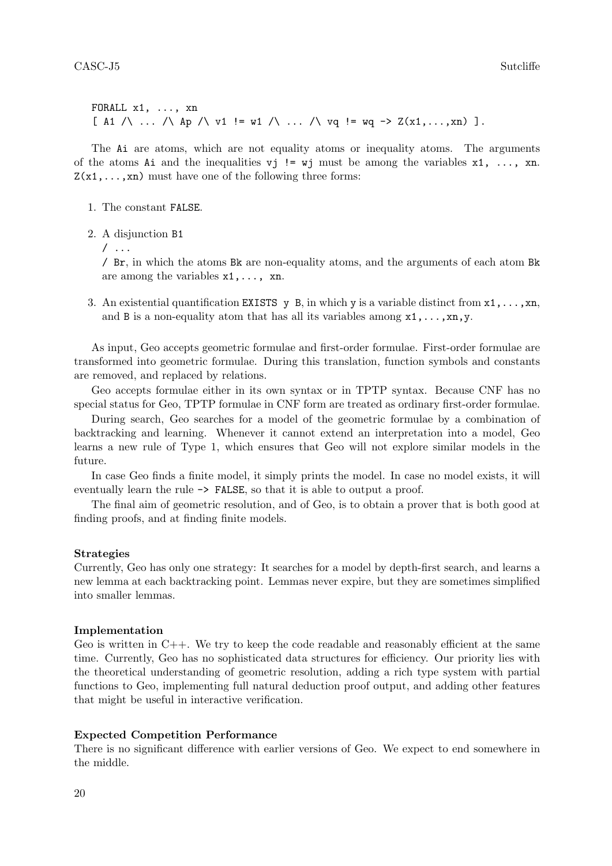FORALL x1, ..., xn  $[ A1 / \ldots / \text{ Ap } / \text{ v1} ] = w1 / \ldots / \text{ vq} = wq \rightarrow Z(x1, \ldots, xn) ]$ .

The Ai are atoms, which are not equality atoms or inequality atoms. The arguments of the atoms Ai and the inequalities  $vj$  != wj must be among the variables  $x1, \ldots, xn$ .  $Z(x_1,...,x_n)$  must have one of the following three forms:

- 1. The constant FALSE.
- 2. A disjunction B1
	- / ...

/ Br, in which the atoms Bk are non-equality atoms, and the arguments of each atom Bk are among the variables  $x1, \ldots, xn$ .

3. An existential quantification EXISTS y B, in which y is a variable distinct from  $x_1, \ldots, x_n$ . and B is a non-equality atom that has all its variables among  $x1, \ldots, xn, y$ .

As input, Geo accepts geometric formulae and first-order formulae. First-order formulae are transformed into geometric formulae. During this translation, function symbols and constants are removed, and replaced by relations.

Geo accepts formulae either in its own syntax or in TPTP syntax. Because CNF has no special status for Geo, TPTP formulae in CNF form are treated as ordinary first-order formulae.

During search, Geo searches for a model of the geometric formulae by a combination of backtracking and learning. Whenever it cannot extend an interpretation into a model, Geo learns a new rule of Type 1, which ensures that Geo will not explore similar models in the future.

In case Geo finds a finite model, it simply prints the model. In case no model exists, it will eventually learn the rule -> FALSE, so that it is able to output a proof.

The final aim of geometric resolution, and of Geo, is to obtain a prover that is both good at finding proofs, and at finding finite models.

#### Strategies

Currently, Geo has only one strategy: It searches for a model by depth-first search, and learns a new lemma at each backtracking point. Lemmas never expire, but they are sometimes simplified into smaller lemmas.

### Implementation

Geo is written in  $C++$ . We try to keep the code readable and reasonably efficient at the same time. Currently, Geo has no sophisticated data structures for efficiency. Our priority lies with the theoretical understanding of geometric resolution, adding a rich type system with partial functions to Geo, implementing full natural deduction proof output, and adding other features that might be useful in interactive verification.

#### Expected Competition Performance

There is no significant difference with earlier versions of Geo. We expect to end somewhere in the middle.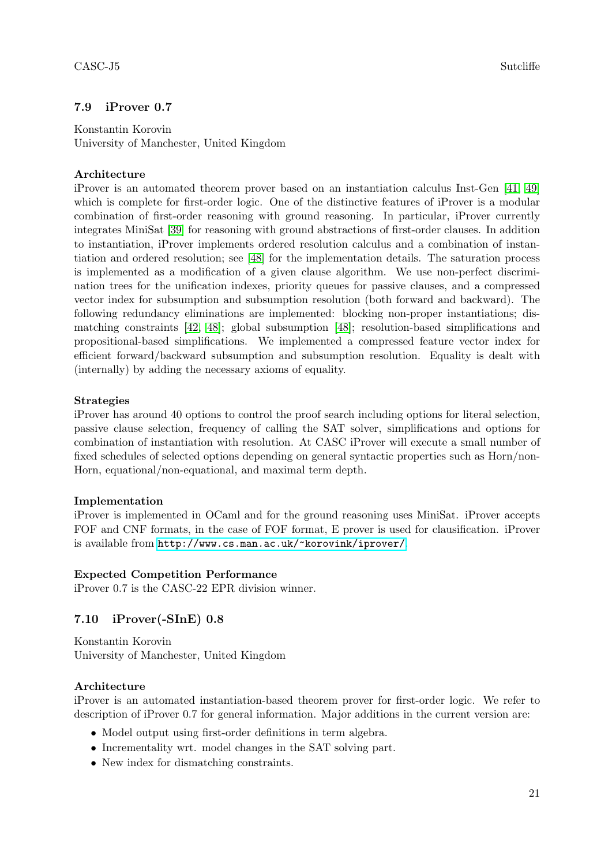# 7.9 iProver 0.7

Konstantin Korovin University of Manchester, United Kingdom

# Architecture

iProver is an automated theorem prover based on an instantiation calculus Inst-Gen [\[41,](#page-40-5) [49\]](#page-41-4) which is complete for first-order logic. One of the distinctive features of iProver is a modular combination of first-order reasoning with ground reasoning. In particular, iProver currently integrates MiniSat [\[39\]](#page-40-6) for reasoning with ground abstractions of first-order clauses. In addition to instantiation, iProver implements ordered resolution calculus and a combination of instantiation and ordered resolution; see [\[48\]](#page-41-5) for the implementation details. The saturation process is implemented as a modification of a given clause algorithm. We use non-perfect discrimination trees for the unification indexes, priority queues for passive clauses, and a compressed vector index for subsumption and subsumption resolution (both forward and backward). The following redundancy eliminations are implemented: blocking non-proper instantiations; dismatching constraints [\[42,](#page-40-7) [48\]](#page-41-5); global subsumption [\[48\]](#page-41-5); resolution-based simplifications and propositional-based simplifications. We implemented a compressed feature vector index for efficient forward/backward subsumption and subsumption resolution. Equality is dealt with (internally) by adding the necessary axioms of equality.

### Strategies

iProver has around 40 options to control the proof search including options for literal selection, passive clause selection, frequency of calling the SAT solver, simplifications and options for combination of instantiation with resolution. At CASC iProver will execute a small number of fixed schedules of selected options depending on general syntactic properties such as Horn/non-Horn, equational/non-equational, and maximal term depth.

# Implementation

iProver is implemented in OCaml and for the ground reasoning uses MiniSat. iProver accepts FOF and CNF formats, in the case of FOF format, E prover is used for clausification. iProver is available from <http://www.cs.man.ac.uk/~korovink/iprover/>.

# Expected Competition Performance

iProver 0.7 is the CASC-22 EPR division winner.

# 7.10 iProver(-SInE) 0.8

Konstantin Korovin University of Manchester, United Kingdom

# Architecture

iProver is an automated instantiation-based theorem prover for first-order logic. We refer to description of iProver 0.7 for general information. Major additions in the current version are:

- Model output using first-order definitions in term algebra.
- Incrementality wrt. model changes in the SAT solving part.
- New index for dismatching constraints.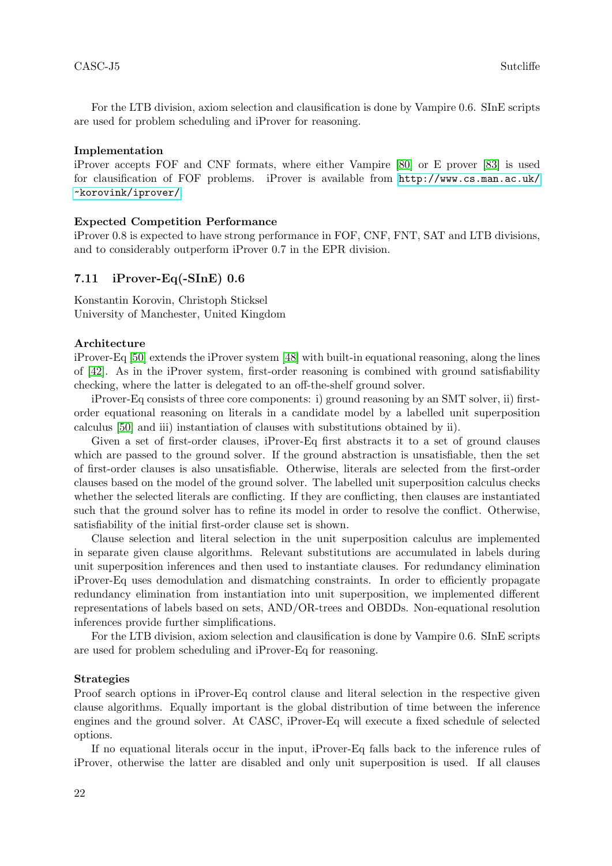For the LTB division, axiom selection and clausification is done by Vampire 0.6. SInE scripts are used for problem scheduling and iProver for reasoning.

#### Implementation

iProver accepts FOF and CNF formats, where either Vampire [\[80\]](#page-42-4) or E prover [\[83\]](#page-42-2) is used for clausification of FOF problems. iProver is available from [http://www.cs.man.ac.uk/](http://www.cs.man.ac.uk/~korovink/iprover/) [~korovink/iprover/](http://www.cs.man.ac.uk/~korovink/iprover/).

#### Expected Competition Performance

iProver 0.8 is expected to have strong performance in FOF, CNF, FNT, SAT and LTB divisions, and to considerably outperform iProver 0.7 in the EPR division.

#### 7.11 iProver-Eq(-SInE) 0.6

Konstantin Korovin, Christoph Sticksel University of Manchester, United Kingdom

#### Architecture

iProver-Eq [\[50\]](#page-41-6) extends the iProver system [\[48\]](#page-41-5) with built-in equational reasoning, along the lines of [\[42\]](#page-40-7). As in the iProver system, first-order reasoning is combined with ground satisfiability checking, where the latter is delegated to an off-the-shelf ground solver.

iProver-Eq consists of three core components: i) ground reasoning by an SMT solver, ii) firstorder equational reasoning on literals in a candidate model by a labelled unit superposition calculus [\[50\]](#page-41-6) and iii) instantiation of clauses with substitutions obtained by ii).

Given a set of first-order clauses, iProver-Eq first abstracts it to a set of ground clauses which are passed to the ground solver. If the ground abstraction is unsatisfiable, then the set of first-order clauses is also unsatisfiable. Otherwise, literals are selected from the first-order clauses based on the model of the ground solver. The labelled unit superposition calculus checks whether the selected literals are conflicting. If they are conflicting, then clauses are instantiated such that the ground solver has to refine its model in order to resolve the conflict. Otherwise, satisfiability of the initial first-order clause set is shown.

Clause selection and literal selection in the unit superposition calculus are implemented in separate given clause algorithms. Relevant substitutions are accumulated in labels during unit superposition inferences and then used to instantiate clauses. For redundancy elimination iProver-Eq uses demodulation and dismatching constraints. In order to efficiently propagate redundancy elimination from instantiation into unit superposition, we implemented different representations of labels based on sets, AND/OR-trees and OBDDs. Non-equational resolution inferences provide further simplifications.

For the LTB division, axiom selection and clausification is done by Vampire 0.6. SInE scripts are used for problem scheduling and iProver-Eq for reasoning.

#### Strategies

Proof search options in iProver-Eq control clause and literal selection in the respective given clause algorithms. Equally important is the global distribution of time between the inference engines and the ground solver. At CASC, iProver-Eq will execute a fixed schedule of selected options.

If no equational literals occur in the input, iProver-Eq falls back to the inference rules of iProver, otherwise the latter are disabled and only unit superposition is used. If all clauses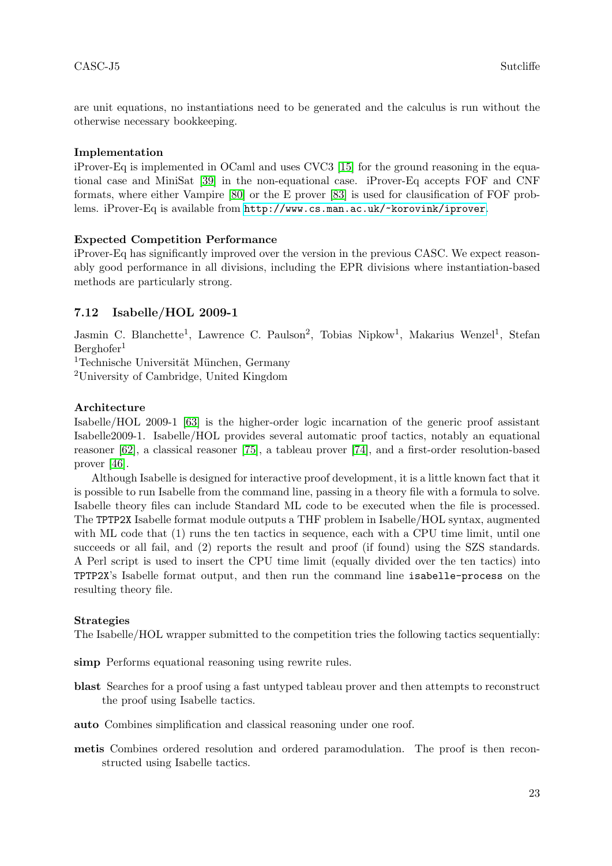are unit equations, no instantiations need to be generated and the calculus is run without the otherwise necessary bookkeeping.

# Implementation

iProver-Eq is implemented in OCaml and uses CVC3 [\[15\]](#page-39-2) for the ground reasoning in the equational case and MiniSat [\[39\]](#page-40-6) in the non-equational case. iProver-Eq accepts FOF and CNF formats, where either Vampire [\[80\]](#page-42-4) or the E prover [\[83\]](#page-42-2) is used for clausification of FOF problems. iProver-Eq is available from <http://www.cs.man.ac.uk/~korovink/iprover>.

# Expected Competition Performance

iProver-Eq has significantly improved over the version in the previous CASC. We expect reasonably good performance in all divisions, including the EPR divisions where instantiation-based methods are particularly strong.

# 7.12 Isabelle/HOL 2009-1

Jasmin C. Blanchette<sup>1</sup>, Lawrence C. Paulson<sup>2</sup>, Tobias Nipkow<sup>1</sup>, Makarius Wenzel<sup>1</sup>, Stefan  $Berghofer<sup>1</sup>$ 

 $1$ Technische Universität München, Germany

<sup>2</sup>University of Cambridge, United Kingdom

# Architecture

Isabelle/HOL 2009-1 [\[63\]](#page-41-7) is the higher-order logic incarnation of the generic proof assistant Isabelle2009-1. Isabelle/HOL provides several automatic proof tactics, notably an equational reasoner [\[62\]](#page-41-8), a classical reasoner [\[75\]](#page-42-5), a tableau prover [\[74\]](#page-42-6), and a first-order resolution-based prover [\[46\]](#page-41-9).

Although Isabelle is designed for interactive proof development, it is a little known fact that it is possible to run Isabelle from the command line, passing in a theory file with a formula to solve. Isabelle theory files can include Standard ML code to be executed when the file is processed. The TPTP2X Isabelle format module outputs a THF problem in Isabelle/HOL syntax, augmented with ML code that (1) runs the ten tactics in sequence, each with a CPU time limit, until one succeeds or all fail, and (2) reports the result and proof (if found) using the SZS standards. A Perl script is used to insert the CPU time limit (equally divided over the ten tactics) into TPTP2X's Isabelle format output, and then run the command line isabelle-process on the resulting theory file.

# Strategies

The Isabelle/HOL wrapper submitted to the competition tries the following tactics sequentially:

simp Performs equational reasoning using rewrite rules.

- blast Searches for a proof using a fast untyped tableau prover and then attempts to reconstruct the proof using Isabelle tactics.
- auto Combines simplification and classical reasoning under one roof.
- metis Combines ordered resolution and ordered paramodulation. The proof is then reconstructed using Isabelle tactics.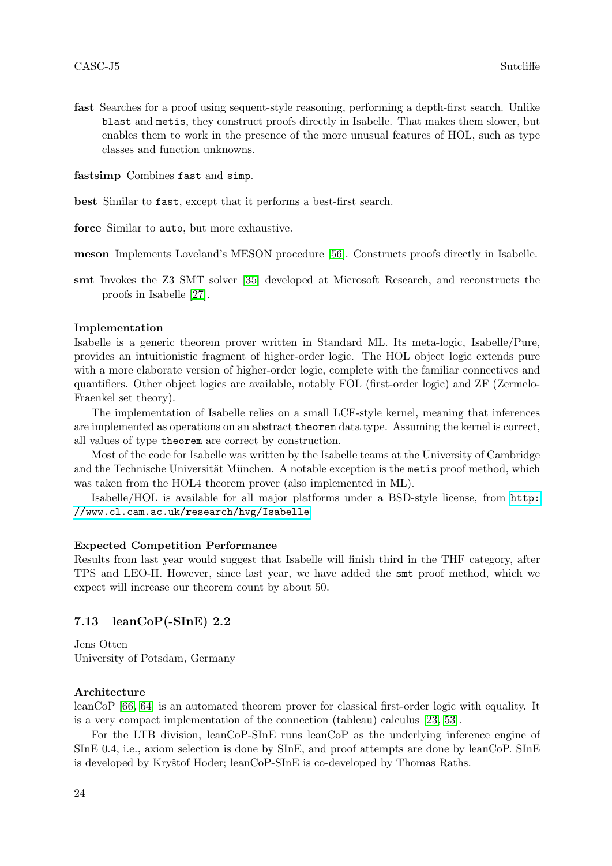fast Searches for a proof using sequent-style reasoning, performing a depth-first search. Unlike blast and metis, they construct proofs directly in Isabelle. That makes them slower, but enables them to work in the presence of the more unusual features of HOL, such as type classes and function unknowns.

fastsimp Combines fast and simp.

best Similar to fast, except that it performs a best-first search.

force Similar to auto, but more exhaustive.

meson Implements Loveland's MESON procedure [\[56\]](#page-41-10). Constructs proofs directly in Isabelle.

smt Invokes the Z3 SMT solver [\[35\]](#page-40-8) developed at Microsoft Research, and reconstructs the proofs in Isabelle [\[27\]](#page-39-6).

#### Implementation

Isabelle is a generic theorem prover written in Standard ML. Its meta-logic, Isabelle/Pure, provides an intuitionistic fragment of higher-order logic. The HOL object logic extends pure with a more elaborate version of higher-order logic, complete with the familiar connectives and quantifiers. Other object logics are available, notably FOL (first-order logic) and ZF (Zermelo-Fraenkel set theory).

The implementation of Isabelle relies on a small LCF-style kernel, meaning that inferences are implemented as operations on an abstract theorem data type. Assuming the kernel is correct, all values of type theorem are correct by construction.

Most of the code for Isabelle was written by the Isabelle teams at the University of Cambridge and the Technische Universität München. A notable exception is the metric proof method, which was taken from the HOL4 theorem prover (also implemented in ML).

Isabelle/HOL is available for all major platforms under a BSD-style license, from [http:](http://www.cl.cam.ac.uk/research/hvg/Isabelle) [//www.cl.cam.ac.uk/research/hvg/Isabelle](http://www.cl.cam.ac.uk/research/hvg/Isabelle).

#### Expected Competition Performance

Results from last year would suggest that Isabelle will finish third in the THF category, after TPS and LEO-II. However, since last year, we have added the smt proof method, which we expect will increase our theorem count by about 50.

#### 7.13 leanCoP(-SInE) 2.2

Jens Otten University of Potsdam, Germany

#### Architecture

leanCoP [\[66,](#page-42-7) [64\]](#page-41-11) is an automated theorem prover for classical first-order logic with equality. It is a very compact implementation of the connection (tableau) calculus [\[23,](#page-39-7) [53\]](#page-41-12).

For the LTB division, leanCoP-SInE runs leanCoP as the underlying inference engine of SInE 0.4, i.e., axiom selection is done by SInE, and proof attempts are done by leanCoP. SInE is developed by Kryštof Hoder; leanCoP-SInE is co-developed by Thomas Raths.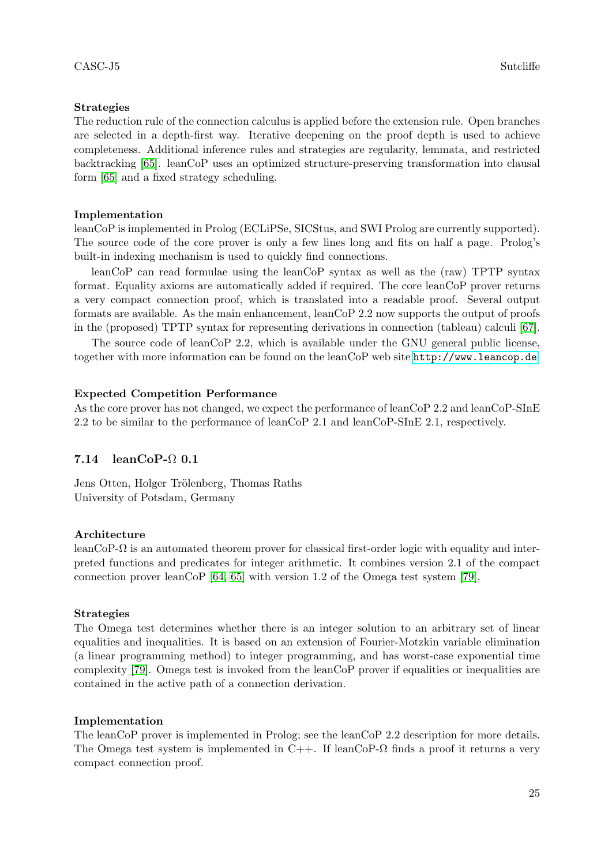### Strategies

The reduction rule of the connection calculus is applied before the extension rule. Open branches are selected in a depth-first way. Iterative deepening on the proof depth is used to achieve completeness. Additional inference rules and strategies are regularity, lemmata, and restricted backtracking [\[65\]](#page-42-8). leanCoP uses an optimized structure-preserving transformation into clausal form [\[65\]](#page-42-8) and a fixed strategy scheduling.

#### Implementation

leanCoP is implemented in Prolog (ECLiPSe, SICStus, and SWI Prolog are currently supported). The source code of the core prover is only a few lines long and fits on half a page. Prolog's built-in indexing mechanism is used to quickly find connections.

leanCoP can read formulae using the leanCoP syntax as well as the (raw) TPTP syntax format. Equality axioms are automatically added if required. The core leanCoP prover returns a very compact connection proof, which is translated into a readable proof. Several output formats are available. As the main enhancement, leanCoP 2.2 now supports the output of proofs in the (proposed) TPTP syntax for representing derivations in connection (tableau) calculi [\[67\]](#page-42-9).

The source code of leanCoP 2.2, which is available under the GNU general public license, together with more information can be found on the leanCoP web site <http://www.leancop.de>.

#### Expected Competition Performance

As the core prover has not changed, we expect the performance of leanCoP 2.2 and leanCoP-SInE 2.2 to be similar to the performance of leanCoP 2.1 and leanCoP-SInE 2.1, respectively.

# 7.14 leanCoP-Ω 0.1

Jens Otten, Holger Trölenberg, Thomas Raths University of Potsdam, Germany

#### Architecture

leanCoP-Ω is an automated theorem prover for classical first-order logic with equality and interpreted functions and predicates for integer arithmetic. It combines version 2.1 of the compact connection prover leanCoP  $[64, 65]$  $[64, 65]$  with version 1.2 of the Omega test system  $[79]$ .

#### Strategies

The Omega test determines whether there is an integer solution to an arbitrary set of linear equalities and inequalities. It is based on an extension of Fourier-Motzkin variable elimination (a linear programming method) to integer programming, and has worst-case exponential time complexity [\[79\]](#page-42-10). Omega test is invoked from the leanCoP prover if equalities or inequalities are contained in the active path of a connection derivation.

#### Implementation

The leanCoP prover is implemented in Prolog; see the leanCoP 2.2 description for more details. The Omega test system is implemented in C++. If leanCoP- $\Omega$  finds a proof it returns a very compact connection proof.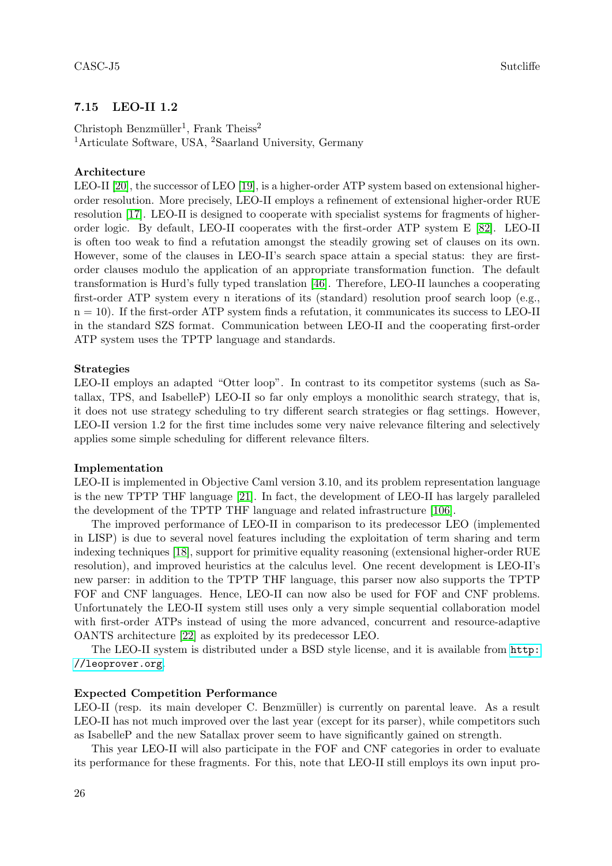# 7.15 LEO-II 1.2

Christoph Benzmüller<sup>1</sup>, Frank Theiss<sup>2</sup> <sup>1</sup>Articulate Software, USA, <sup>2</sup>Saarland University, Germany

### Architecture

LEO-II [\[20\]](#page-39-8), the successor of LEO [\[19\]](#page-39-9), is a higher-order ATP system based on extensional higherorder resolution. More precisely, LEO-II employs a refinement of extensional higher-order RUE resolution [\[17\]](#page-39-10). LEO-II is designed to cooperate with specialist systems for fragments of higherorder logic. By default, LEO-II cooperates with the first-order ATP system E [\[82\]](#page-42-1). LEO-II is often too weak to find a refutation amongst the steadily growing set of clauses on its own. However, some of the clauses in LEO-II's search space attain a special status: they are firstorder clauses modulo the application of an appropriate transformation function. The default transformation is Hurd's fully typed translation [\[46\]](#page-41-9). Therefore, LEO-II launches a cooperating first-order ATP system every n iterations of its (standard) resolution proof search loop (e.g.,  $n = 10$ ). If the first-order ATP system finds a refutation, it communicates its success to LEO-II in the standard SZS format. Communication between LEO-II and the cooperating first-order ATP system uses the TPTP language and standards.

#### Strategies

LEO-II employs an adapted "Otter loop". In contrast to its competitor systems (such as Satallax, TPS, and IsabelleP) LEO-II so far only employs a monolithic search strategy, that is, it does not use strategy scheduling to try different search strategies or flag settings. However, LEO-II version 1.2 for the first time includes some very naive relevance filtering and selectively applies some simple scheduling for different relevance filters.

### Implementation

LEO-II is implemented in Objective Caml version 3.10, and its problem representation language is the new TPTP THF language [\[21\]](#page-39-11). In fact, the development of LEO-II has largely paralleled the development of the TPTP THF language and related infrastructure [\[106\]](#page-43-24).

The improved performance of LEO-II in comparison to its predecessor LEO (implemented in LISP) is due to several novel features including the exploitation of term sharing and term indexing techniques [\[18\]](#page-39-12), support for primitive equality reasoning (extensional higher-order RUE resolution), and improved heuristics at the calculus level. One recent development is LEO-II's new parser: in addition to the TPTP THF language, this parser now also supports the TPTP FOF and CNF languages. Hence, LEO-II can now also be used for FOF and CNF problems. Unfortunately the LEO-II system still uses only a very simple sequential collaboration model with first-order ATPs instead of using the more advanced, concurrent and resource-adaptive OANTS architecture [\[22\]](#page-39-13) as exploited by its predecessor LEO.

The LEO-II system is distributed under a BSD style license, and it is available from [http:](http://leoprover.org) [//leoprover.org](http://leoprover.org).

### Expected Competition Performance

LEO-II (resp. its main developer C. Benzmüller) is currently on parental leave. As a result LEO-II has not much improved over the last year (except for its parser), while competitors such as IsabelleP and the new Satallax prover seem to have significantly gained on strength.

This year LEO-II will also participate in the FOF and CNF categories in order to evaluate its performance for these fragments. For this, note that LEO-II still employs its own input pro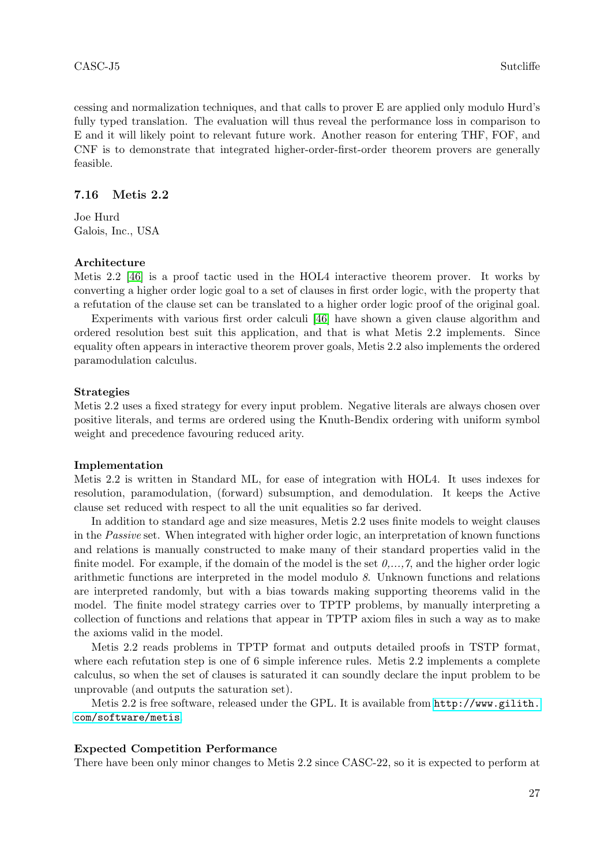cessing and normalization techniques, and that calls to prover E are applied only modulo Hurd's fully typed translation. The evaluation will thus reveal the performance loss in comparison to E and it will likely point to relevant future work. Another reason for entering THF, FOF, and CNF is to demonstrate that integrated higher-order-first-order theorem provers are generally feasible.

#### 7.16 Metis 2.2

Joe Hurd Galois, Inc., USA

#### Architecture

Metis 2.2 [\[46\]](#page-41-9) is a proof tactic used in the HOL4 interactive theorem prover. It works by converting a higher order logic goal to a set of clauses in first order logic, with the property that a refutation of the clause set can be translated to a higher order logic proof of the original goal.

Experiments with various first order calculi [\[46\]](#page-41-9) have shown a given clause algorithm and ordered resolution best suit this application, and that is what Metis 2.2 implements. Since equality often appears in interactive theorem prover goals, Metis 2.2 also implements the ordered paramodulation calculus.

#### Strategies

Metis 2.2 uses a fixed strategy for every input problem. Negative literals are always chosen over positive literals, and terms are ordered using the Knuth-Bendix ordering with uniform symbol weight and precedence favouring reduced arity.

#### Implementation

Metis 2.2 is written in Standard ML, for ease of integration with HOL4. It uses indexes for resolution, paramodulation, (forward) subsumption, and demodulation. It keeps the Active clause set reduced with respect to all the unit equalities so far derived.

In addition to standard age and size measures, Metis 2.2 uses finite models to weight clauses in the Passive set. When integrated with higher order logic, an interpretation of known functions and relations is manually constructed to make many of their standard properties valid in the finite model. For example, if the domain of the model is the set  $0, \ldots, 7$ , and the higher order logic arithmetic functions are interpreted in the model modulo 8. Unknown functions and relations are interpreted randomly, but with a bias towards making supporting theorems valid in the model. The finite model strategy carries over to TPTP problems, by manually interpreting a collection of functions and relations that appear in TPTP axiom files in such a way as to make the axioms valid in the model.

Metis 2.2 reads problems in TPTP format and outputs detailed proofs in TSTP format, where each refutation step is one of 6 simple inference rules. Metis 2.2 implements a complete calculus, so when the set of clauses is saturated it can soundly declare the input problem to be unprovable (and outputs the saturation set).

Metis 2.2 is free software, released under the GPL. It is available from [http://www.gilith.](http://www.gilith.com/software/metis) [com/software/metis](http://www.gilith.com/software/metis).

#### Expected Competition Performance

There have been only minor changes to Metis 2.2 since CASC-22, so it is expected to perform at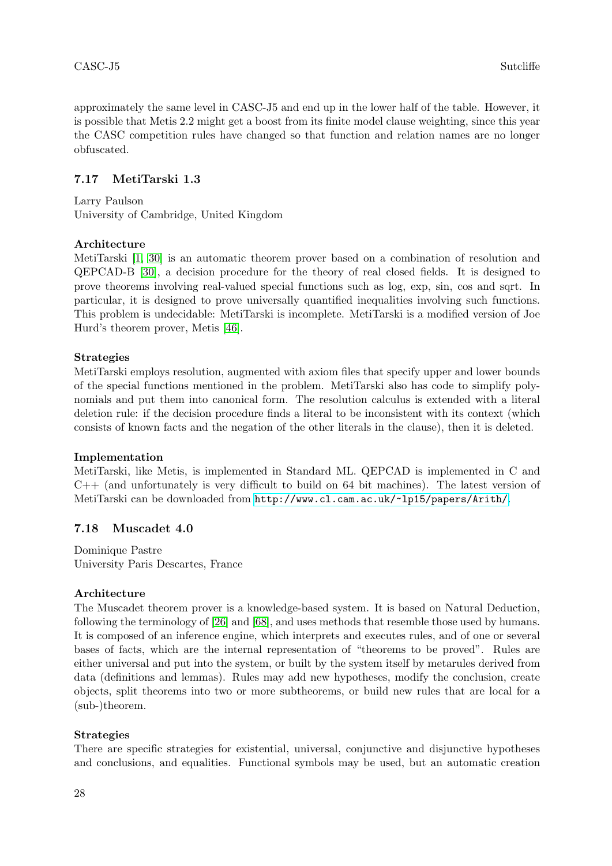approximately the same level in CASC-J5 and end up in the lower half of the table. However, it is possible that Metis 2.2 might get a boost from its finite model clause weighting, since this year the CASC competition rules have changed so that function and relation names are no longer obfuscated.

# 7.17 MetiTarski 1.3

Larry Paulson University of Cambridge, United Kingdom

# Architecture

MetiTarski [\[1,](#page-38-1) [30\]](#page-40-9) is an automatic theorem prover based on a combination of resolution and QEPCAD-B [\[30\]](#page-40-9), a decision procedure for the theory of real closed fields. It is designed to prove theorems involving real-valued special functions such as log, exp, sin, cos and sqrt. In particular, it is designed to prove universally quantified inequalities involving such functions. This problem is undecidable: MetiTarski is incomplete. MetiTarski is a modified version of Joe Hurd's theorem prover, Metis [\[46\]](#page-41-9).

# Strategies

MetiTarski employs resolution, augmented with axiom files that specify upper and lower bounds of the special functions mentioned in the problem. MetiTarski also has code to simplify polynomials and put them into canonical form. The resolution calculus is extended with a literal deletion rule: if the decision procedure finds a literal to be inconsistent with its context (which consists of known facts and the negation of the other literals in the clause), then it is deleted.

# Implementation

MetiTarski, like Metis, is implemented in Standard ML. QEPCAD is implemented in C and  $C++$  (and unfortunately is very difficult to build on 64 bit machines). The latest version of MetiTarski can be downloaded from <http://www.cl.cam.ac.uk/~lp15/papers/Arith/>.

# 7.18 Muscadet 4.0

Dominique Pastre University Paris Descartes, France

# Architecture

The Muscadet theorem prover is a knowledge-based system. It is based on Natural Deduction, following the terminology of [\[26\]](#page-39-14) and [\[68\]](#page-42-11), and uses methods that resemble those used by humans. It is composed of an inference engine, which interprets and executes rules, and of one or several bases of facts, which are the internal representation of "theorems to be proved". Rules are either universal and put into the system, or built by the system itself by metarules derived from data (definitions and lemmas). Rules may add new hypotheses, modify the conclusion, create objects, split theorems into two or more subtheorems, or build new rules that are local for a (sub-)theorem.

# Strategies

There are specific strategies for existential, universal, conjunctive and disjunctive hypotheses and conclusions, and equalities. Functional symbols may be used, but an automatic creation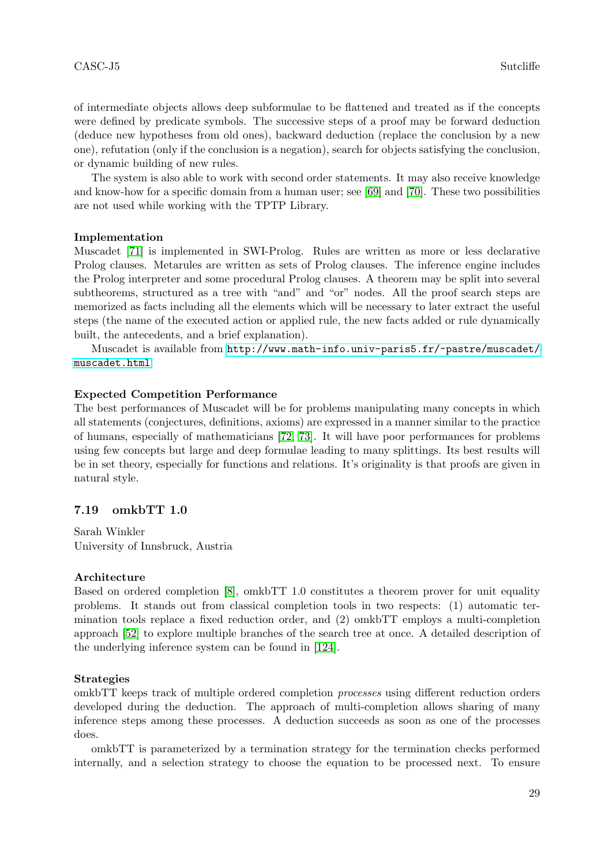of intermediate objects allows deep subformulae to be flattened and treated as if the concepts were defined by predicate symbols. The successive steps of a proof may be forward deduction (deduce new hypotheses from old ones), backward deduction (replace the conclusion by a new one), refutation (only if the conclusion is a negation), search for objects satisfying the conclusion, or dynamic building of new rules.

The system is also able to work with second order statements. It may also receive knowledge and know-how for a specific domain from a human user; see [\[69\]](#page-42-12) and [\[70\]](#page-42-13). These two possibilities are not used while working with the TPTP Library.

#### Implementation

Muscadet [\[71\]](#page-42-14) is implemented in SWI-Prolog. Rules are written as more or less declarative Prolog clauses. Metarules are written as sets of Prolog clauses. The inference engine includes the Prolog interpreter and some procedural Prolog clauses. A theorem may be split into several subtheorems, structured as a tree with "and" and "or" nodes. All the proof search steps are memorized as facts including all the elements which will be necessary to later extract the useful steps (the name of the executed action or applied rule, the new facts added or rule dynamically built, the antecedents, and a brief explanation).

Muscadet is available from [http://www.math-info.univ-paris5.fr/~pastre/muscadet/](http://www.math-info.univ-paris5.fr/~pastre/muscadet/muscadet.html) [muscadet.html](http://www.math-info.univ-paris5.fr/~pastre/muscadet/muscadet.html).

#### Expected Competition Performance

The best performances of Muscadet will be for problems manipulating many concepts in which all statements (conjectures, definitions, axioms) are expressed in a manner similar to the practice of humans, especially of mathematicians [\[72,](#page-42-15) [73\]](#page-42-16). It will have poor performances for problems using few concepts but large and deep formulae leading to many splittings. Its best results will be in set theory, especially for functions and relations. It's originality is that proofs are given in natural style.

#### 7.19 omkbTT 1.0

Sarah Winkler University of Innsbruck, Austria

#### Architecture

Based on ordered completion [\[8\]](#page-38-2), omkbTT 1.0 constitutes a theorem prover for unit equality problems. It stands out from classical completion tools in two respects: (1) automatic termination tools replace a fixed reduction order, and (2) omkbTT employs a multi-completion approach [\[52\]](#page-41-13) to explore multiple branches of the search tree at once. A detailed description of the underlying inference system can be found in [\[124\]](#page-44-10).

#### Strategies

omkbTT keeps track of multiple ordered completion processes using different reduction orders developed during the deduction. The approach of multi-completion allows sharing of many inference steps among these processes. A deduction succeeds as soon as one of the processes does.

omkbTT is parameterized by a termination strategy for the termination checks performed internally, and a selection strategy to choose the equation to be processed next. To ensure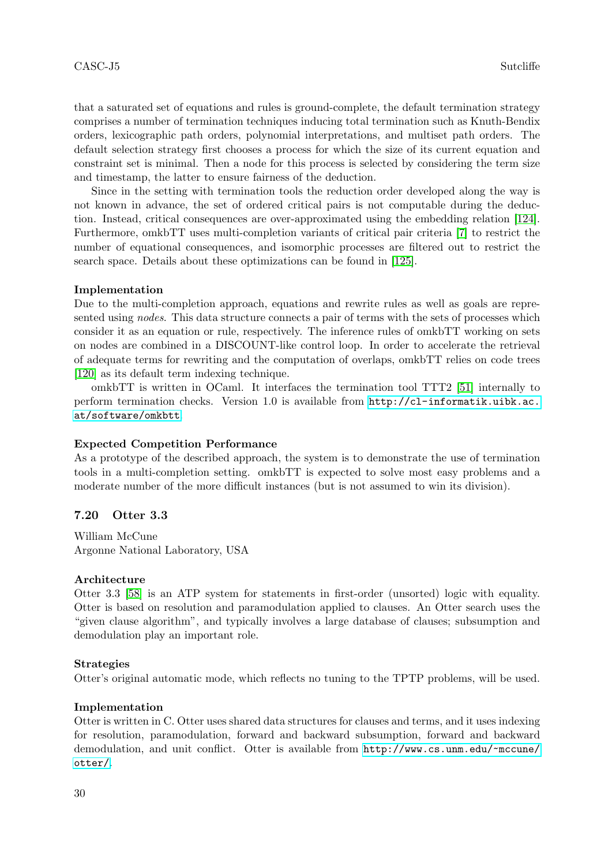that a saturated set of equations and rules is ground-complete, the default termination strategy comprises a number of termination techniques inducing total termination such as Knuth-Bendix orders, lexicographic path orders, polynomial interpretations, and multiset path orders. The default selection strategy first chooses a process for which the size of its current equation and constraint set is minimal. Then a node for this process is selected by considering the term size and timestamp, the latter to ensure fairness of the deduction.

Since in the setting with termination tools the reduction order developed along the way is not known in advance, the set of ordered critical pairs is not computable during the deduction. Instead, critical consequences are over-approximated using the embedding relation [\[124\]](#page-44-10). Furthermore, omkbTT uses multi-completion variants of critical pair criteria [\[7\]](#page-38-3) to restrict the number of equational consequences, and isomorphic processes are filtered out to restrict the search space. Details about these optimizations can be found in [\[125\]](#page-44-11).

#### Implementation

Due to the multi-completion approach, equations and rewrite rules as well as goals are represented using nodes. This data structure connects a pair of terms with the sets of processes which consider it as an equation or rule, respectively. The inference rules of omkbTT working on sets on nodes are combined in a DISCOUNT-like control loop. In order to accelerate the retrieval of adequate terms for rewriting and the computation of overlaps, omkbTT relies on code trees [\[120\]](#page-44-12) as its default term indexing technique.

omkbTT is written in OCaml. It interfaces the termination tool TTT2 [\[51\]](#page-41-14) internally to perform termination checks. Version 1.0 is available from [http://cl-informatik.uibk.ac.](http://cl-informatik.uibk.ac.at/software/omkbtt) [at/software/omkbtt](http://cl-informatik.uibk.ac.at/software/omkbtt).

#### Expected Competition Performance

As a prototype of the described approach, the system is to demonstrate the use of termination tools in a multi-completion setting. omkbTT is expected to solve most easy problems and a moderate number of the more difficult instances (but is not assumed to win its division).

### 7.20 Otter 3.3

William McCune Argonne National Laboratory, USA

#### Architecture

Otter 3.3 [\[58\]](#page-41-3) is an ATP system for statements in first-order (unsorted) logic with equality. Otter is based on resolution and paramodulation applied to clauses. An Otter search uses the "given clause algorithm", and typically involves a large database of clauses; subsumption and demodulation play an important role.

#### Strategies

Otter's original automatic mode, which reflects no tuning to the TPTP problems, will be used.

#### Implementation

Otter is written in C. Otter uses shared data structures for clauses and terms, and it uses indexing for resolution, paramodulation, forward and backward subsumption, forward and backward demodulation, and unit conflict. Otter is available from [http://www.cs.unm.edu/~mccune/](http://www.cs.unm.edu/~mccune/otter/) [otter/](http://www.cs.unm.edu/~mccune/otter/).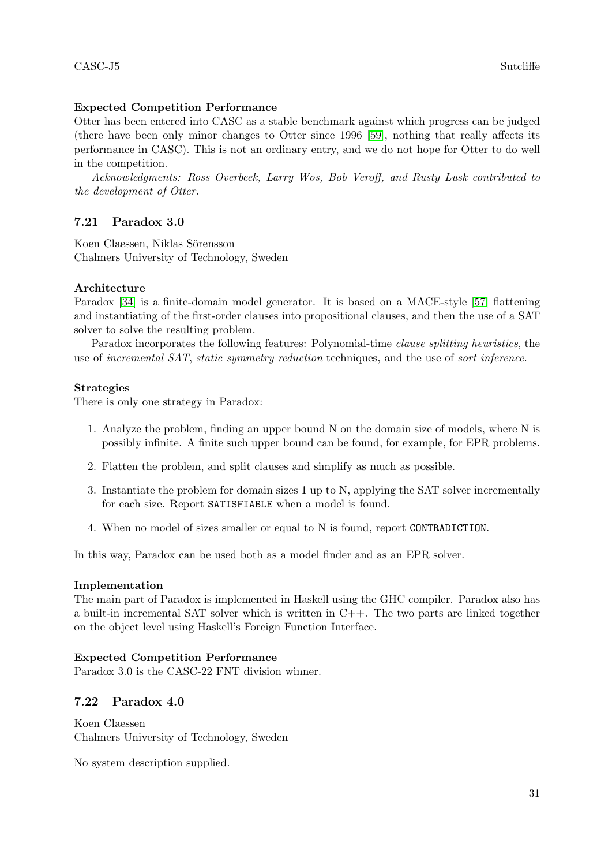# Expected Competition Performance

Otter has been entered into CASC as a stable benchmark against which progress can be judged (there have been only minor changes to Otter since 1996 [\[59\]](#page-41-15), nothing that really affects its performance in CASC). This is not an ordinary entry, and we do not hope for Otter to do well in the competition.

Acknowledgments: Ross Overbeek, Larry Wos, Bob Veroff, and Rusty Lusk contributed to the development of Otter.

# 7.21 Paradox 3.0

Koen Claessen, Niklas Sörensson Chalmers University of Technology, Sweden

# Architecture

Paradox [\[34\]](#page-40-10) is a finite-domain model generator. It is based on a MACE-style [\[57\]](#page-41-16) flattening and instantiating of the first-order clauses into propositional clauses, and then the use of a SAT solver to solve the resulting problem.

Paradox incorporates the following features: Polynomial-time clause splitting heuristics, the use of incremental SAT, static symmetry reduction techniques, and the use of sort inference.

# Strategies

There is only one strategy in Paradox:

- 1. Analyze the problem, finding an upper bound N on the domain size of models, where N is possibly infinite. A finite such upper bound can be found, for example, for EPR problems.
- 2. Flatten the problem, and split clauses and simplify as much as possible.
- 3. Instantiate the problem for domain sizes 1 up to N, applying the SAT solver incrementally for each size. Report SATISFIABLE when a model is found.
- 4. When no model of sizes smaller or equal to N is found, report CONTRADICTION.

In this way, Paradox can be used both as a model finder and as an EPR solver.

# Implementation

The main part of Paradox is implemented in Haskell using the GHC compiler. Paradox also has a built-in incremental SAT solver which is written in  $C++$ . The two parts are linked together on the object level using Haskell's Foreign Function Interface.

# Expected Competition Performance

Paradox 3.0 is the CASC-22 FNT division winner.

# 7.22 Paradox 4.0

Koen Claessen Chalmers University of Technology, Sweden

No system description supplied.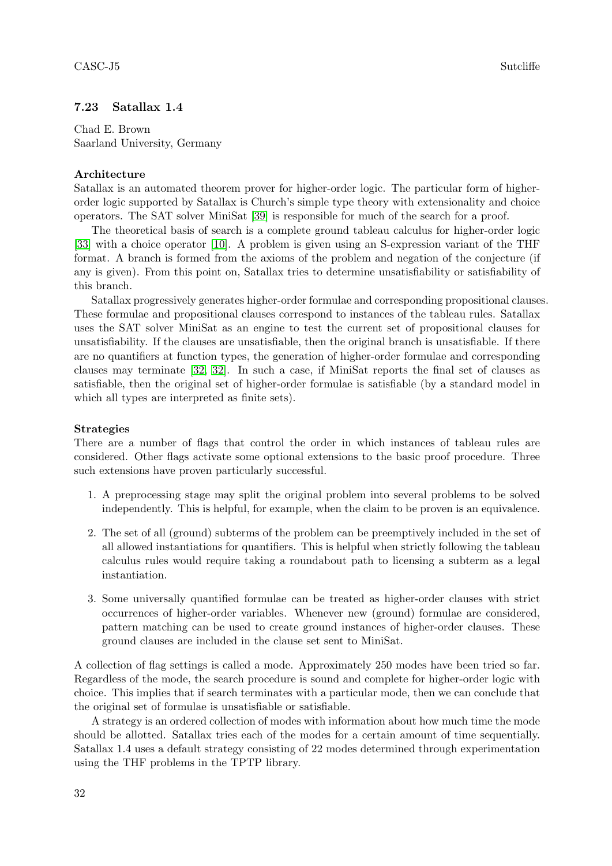# 7.23 Satallax 1.4

Chad E. Brown Saarland University, Germany

# Architecture

Satallax is an automated theorem prover for higher-order logic. The particular form of higherorder logic supported by Satallax is Church's simple type theory with extensionality and choice operators. The SAT solver MiniSat [\[39\]](#page-40-6) is responsible for much of the search for a proof.

The theoretical basis of search is a complete ground tableau calculus for higher-order logic [\[33\]](#page-40-11) with a choice operator [\[10\]](#page-38-4). A problem is given using an S-expression variant of the THF format. A branch is formed from the axioms of the problem and negation of the conjecture (if any is given). From this point on, Satallax tries to determine unsatisfiability or satisfiability of this branch.

Satallax progressively generates higher-order formulae and corresponding propositional clauses. These formulae and propositional clauses correspond to instances of the tableau rules. Satallax uses the SAT solver MiniSat as an engine to test the current set of propositional clauses for unsatisfiability. If the clauses are unsatisfiable, then the original branch is unsatisfiable. If there are no quantifiers at function types, the generation of higher-order formulae and corresponding clauses may terminate [\[32, 32\]](#page-40-12). In such a case, if MiniSat reports the final set of clauses as satisfiable, then the original set of higher-order formulae is satisfiable (by a standard model in which all types are interpreted as finite sets).

# Strategies

There are a number of flags that control the order in which instances of tableau rules are considered. Other flags activate some optional extensions to the basic proof procedure. Three such extensions have proven particularly successful.

- 1. A preprocessing stage may split the original problem into several problems to be solved independently. This is helpful, for example, when the claim to be proven is an equivalence.
- 2. The set of all (ground) subterms of the problem can be preemptively included in the set of all allowed instantiations for quantifiers. This is helpful when strictly following the tableau calculus rules would require taking a roundabout path to licensing a subterm as a legal instantiation.
- 3. Some universally quantified formulae can be treated as higher-order clauses with strict occurrences of higher-order variables. Whenever new (ground) formulae are considered, pattern matching can be used to create ground instances of higher-order clauses. These ground clauses are included in the clause set sent to MiniSat.

A collection of flag settings is called a mode. Approximately 250 modes have been tried so far. Regardless of the mode, the search procedure is sound and complete for higher-order logic with choice. This implies that if search terminates with a particular mode, then we can conclude that the original set of formulae is unsatisfiable or satisfiable.

A strategy is an ordered collection of modes with information about how much time the mode should be allotted. Satallax tries each of the modes for a certain amount of time sequentially. Satallax 1.4 uses a default strategy consisting of 22 modes determined through experimentation using the THF problems in the TPTP library.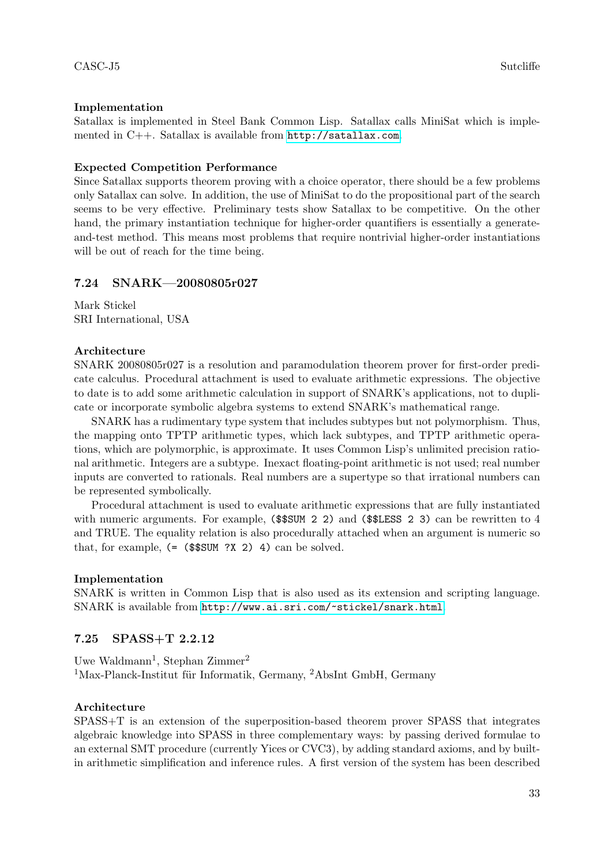# Implementation

Satallax is implemented in Steel Bank Common Lisp. Satallax calls MiniSat which is implemented in C++. Satallax is available from <http://satallax.com>.

### Expected Competition Performance

Since Satallax supports theorem proving with a choice operator, there should be a few problems only Satallax can solve. In addition, the use of MiniSat to do the propositional part of the search seems to be very effective. Preliminary tests show Satallax to be competitive. On the other hand, the primary instantiation technique for higher-order quantifiers is essentially a generateand-test method. This means most problems that require nontrivial higher-order instantiations will be out of reach for the time being.

# 7.24 SNARK—20080805r027

Mark Stickel SRI International, USA

### Architecture

SNARK 20080805r027 is a resolution and paramodulation theorem prover for first-order predicate calculus. Procedural attachment is used to evaluate arithmetic expressions. The objective to date is to add some arithmetic calculation in support of SNARK's applications, not to duplicate or incorporate symbolic algebra systems to extend SNARK's mathematical range.

SNARK has a rudimentary type system that includes subtypes but not polymorphism. Thus, the mapping onto TPTP arithmetic types, which lack subtypes, and TPTP arithmetic operations, which are polymorphic, is approximate. It uses Common Lisp's unlimited precision rational arithmetic. Integers are a subtype. Inexact floating-point arithmetic is not used; real number inputs are converted to rationals. Real numbers are a supertype so that irrational numbers can be represented symbolically.

Procedural attachment is used to evaluate arithmetic expressions that are fully instantiated with numeric arguments. For example, (\$\$SUM 2 2) and (\$\$LESS 2 3) can be rewritten to 4 and TRUE. The equality relation is also procedurally attached when an argument is numeric so that, for example,  $(=(\$ \$SUM ?X 2) 4) can be solved.

#### Implementation

SNARK is written in Common Lisp that is also used as its extension and scripting language. SNARK is available from <http://www.ai.sri.com/~stickel/snark.html>.

# 7.25 SPASS+T 2.2.12

Uwe Waldmann<sup>1</sup>, Stephan Zimmer<sup>2</sup>  $1$ Max-Planck-Institut für Informatik, Germany,  $2$ AbsInt GmbH, Germany

#### Architecture

SPASS+T is an extension of the superposition-based theorem prover SPASS that integrates algebraic knowledge into SPASS in three complementary ways: by passing derived formulae to an external SMT procedure (currently Yices or CVC3), by adding standard axioms, and by builtin arithmetic simplification and inference rules. A first version of the system has been described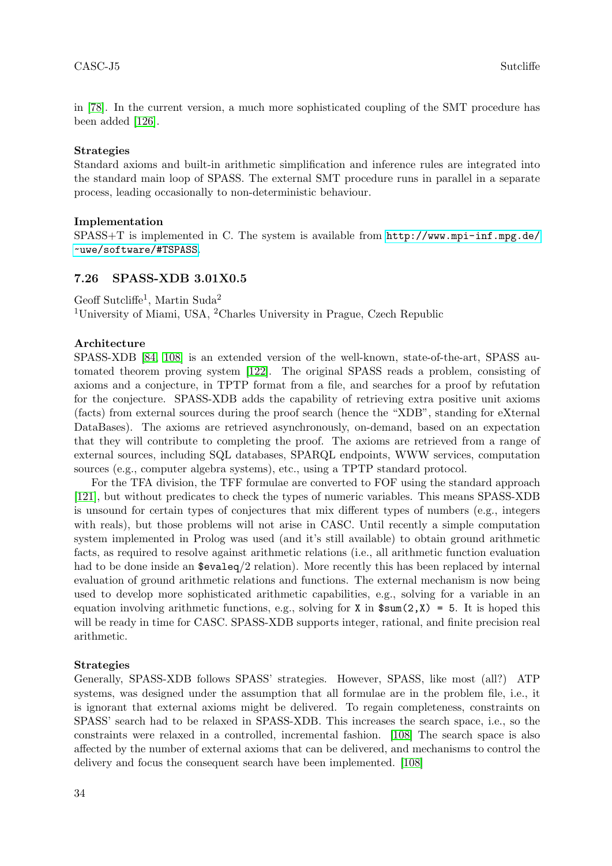in [\[78\]](#page-42-17). In the current version, a much more sophisticated coupling of the SMT procedure has been added [\[126\]](#page-44-13).

# Strategies

Standard axioms and built-in arithmetic simplification and inference rules are integrated into the standard main loop of SPASS. The external SMT procedure runs in parallel in a separate process, leading occasionally to non-deterministic behaviour.

### Implementation

 $SPASS+T$  is implemented in C. The system is available from  $http://www.mpi-inf.mpg.de/$ [~uwe/software/#TSPASS](http://www.mpi-inf.mpg.de/~uwe/software/#TSPASS).

# 7.26 SPASS-XDB 3.01X0.5

Geoff Sutcliffe<sup>1</sup>, Martin Suda<sup>2</sup> <sup>1</sup>University of Miami, USA, <sup>2</sup>Charles University in Prague, Czech Republic

# Architecture

SPASS-XDB [\[84,](#page-42-18) [108\]](#page-43-25) is an extended version of the well-known, state-of-the-art, SPASS automated theorem proving system [\[122\]](#page-44-14). The original SPASS reads a problem, consisting of axioms and a conjecture, in TPTP format from a file, and searches for a proof by refutation for the conjecture. SPASS-XDB adds the capability of retrieving extra positive unit axioms (facts) from external sources during the proof search (hence the "XDB", standing for eXternal DataBases). The axioms are retrieved asynchronously, on-demand, based on an expectation that they will contribute to completing the proof. The axioms are retrieved from a range of external sources, including SQL databases, SPARQL endpoints, WWW services, computation sources (e.g., computer algebra systems), etc., using a TPTP standard protocol.

For the TFA division, the TFF formulae are converted to FOF using the standard approach [\[121\]](#page-44-15), but without predicates to check the types of numeric variables. This means SPASS-XDB is unsound for certain types of conjectures that mix different types of numbers (e.g., integers with reals), but those problems will not arise in CASC. Until recently a simple computation system implemented in Prolog was used (and it's still available) to obtain ground arithmetic facts, as required to resolve against arithmetic relations (i.e., all arithmetic function evaluation had to be done inside an  $\text{sevaleq}/2$  relation). More recently this has been replaced by internal evaluation of ground arithmetic relations and functions. The external mechanism is now being used to develop more sophisticated arithmetic capabilities, e.g., solving for a variable in an equation involving arithmetic functions, e.g., solving for X in  $\text{Sum}(2, X) = 5$ . It is hoped this will be ready in time for CASC. SPASS-XDB supports integer, rational, and finite precision real arithmetic.

#### Strategies

Generally, SPASS-XDB follows SPASS' strategies. However, SPASS, like most (all?) ATP systems, was designed under the assumption that all formulae are in the problem file, i.e., it is ignorant that external axioms might be delivered. To regain completeness, constraints on SPASS' search had to be relaxed in SPASS-XDB. This increases the search space, i.e., so the constraints were relaxed in a controlled, incremental fashion. [\[108\]](#page-43-25) The search space is also affected by the number of external axioms that can be delivered, and mechanisms to control the delivery and focus the consequent search have been implemented. [\[108\]](#page-43-25)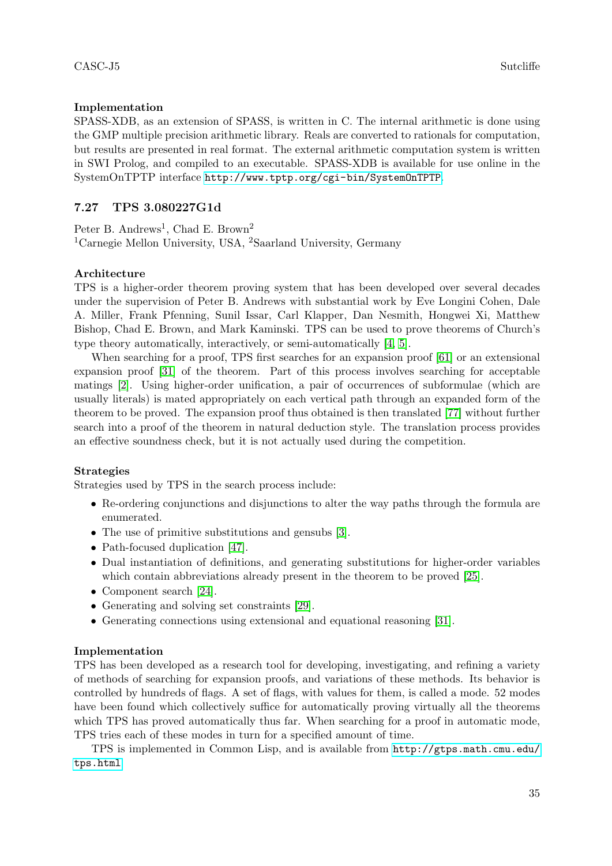# Implementation

SPASS-XDB, as an extension of SPASS, is written in C. The internal arithmetic is done using the GMP multiple precision arithmetic library. Reals are converted to rationals for computation, but results are presented in real format. The external arithmetic computation system is written in SWI Prolog, and compiled to an executable. SPASS-XDB is available for use online in the SystemOnTPTP interface <http://www.tptp.org/cgi-bin/SystemOnTPTP>.

# 7.27 TPS 3.080227G1d

Peter B. Andrews<sup>1</sup>, Chad E. Brown<sup>2</sup> <sup>1</sup>Carnegie Mellon University, USA, <sup>2</sup>Saarland University, Germany

# Architecture

TPS is a higher-order theorem proving system that has been developed over several decades under the supervision of Peter B. Andrews with substantial work by Eve Longini Cohen, Dale A. Miller, Frank Pfenning, Sunil Issar, Carl Klapper, Dan Nesmith, Hongwei Xi, Matthew Bishop, Chad E. Brown, and Mark Kaminski. TPS can be used to prove theorems of Church's type theory automatically, interactively, or semi-automatically [\[4,](#page-38-5) [5\]](#page-38-6).

When searching for a proof, TPS first searches for an expansion proof [\[61\]](#page-41-17) or an extensional expansion proof [\[31\]](#page-40-13) of the theorem. Part of this process involves searching for acceptable matings [\[2\]](#page-38-7). Using higher-order unification, a pair of occurrences of subformulae (which are usually literals) is mated appropriately on each vertical path through an expanded form of the theorem to be proved. The expansion proof thus obtained is then translated [\[77\]](#page-42-19) without further search into a proof of the theorem in natural deduction style. The translation process provides an effective soundness check, but it is not actually used during the competition.

# Strategies

Strategies used by TPS in the search process include:

- Re-ordering conjunctions and disjunctions to alter the way paths through the formula are enumerated.
- The use of primitive substitutions and gensubs [\[3\]](#page-38-8).
- Path-focused duplication [\[47\]](#page-41-18).
- Dual instantiation of definitions, and generating substitutions for higher-order variables which contain abbreviations already present in the theorem to be proved [\[25\]](#page-39-15).
- Component search [\[24\]](#page-39-16).
- Generating and solving set constraints [\[29\]](#page-40-14).
- Generating connections using extensional and equational reasoning [\[31\]](#page-40-13).

# Implementation

TPS has been developed as a research tool for developing, investigating, and refining a variety of methods of searching for expansion proofs, and variations of these methods. Its behavior is controlled by hundreds of flags. A set of flags, with values for them, is called a mode. 52 modes have been found which collectively suffice for automatically proving virtually all the theorems which TPS has proved automatically thus far. When searching for a proof in automatic mode, TPS tries each of these modes in turn for a specified amount of time.

TPS is implemented in Common Lisp, and is available from [http://gtps.math.cmu.edu/](http://gtps.math.cmu.edu/tps.html) [tps.html](http://gtps.math.cmu.edu/tps.html)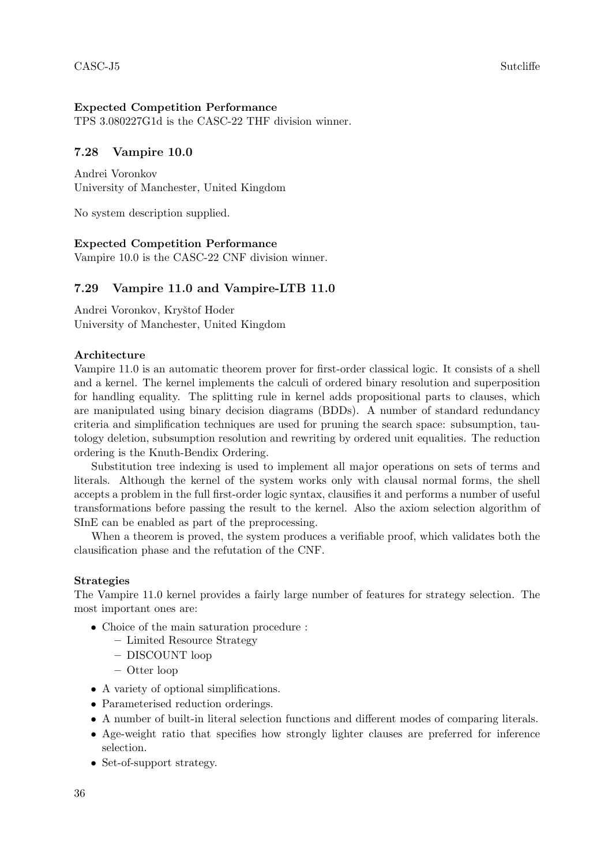# Expected Competition Performance

TPS 3.080227G1d is the CASC-22 THF division winner.

# 7.28 Vampire 10.0

Andrei Voronkov University of Manchester, United Kingdom

No system description supplied.

# Expected Competition Performance

Vampire 10.0 is the CASC-22 CNF division winner.

# 7.29 Vampire 11.0 and Vampire-LTB 11.0

Andrei Voronkov, Kryštof Hoder University of Manchester, United Kingdom

# Architecture

Vampire 11.0 is an automatic theorem prover for first-order classical logic. It consists of a shell and a kernel. The kernel implements the calculi of ordered binary resolution and superposition for handling equality. The splitting rule in kernel adds propositional parts to clauses, which are manipulated using binary decision diagrams (BDDs). A number of standard redundancy criteria and simplification techniques are used for pruning the search space: subsumption, tautology deletion, subsumption resolution and rewriting by ordered unit equalities. The reduction ordering is the Knuth-Bendix Ordering.

Substitution tree indexing is used to implement all major operations on sets of terms and literals. Although the kernel of the system works only with clausal normal forms, the shell accepts a problem in the full first-order logic syntax, clausifies it and performs a number of useful transformations before passing the result to the kernel. Also the axiom selection algorithm of SInE can be enabled as part of the preprocessing.

When a theorem is proved, the system produces a verifiable proof, which validates both the clausification phase and the refutation of the CNF.

# Strategies

The Vampire 11.0 kernel provides a fairly large number of features for strategy selection. The most important ones are:

- Choice of the main saturation procedure :
	- Limited Resource Strategy
	- DISCOUNT loop
	- Otter loop
- A variety of optional simplifications.
- Parameterised reduction orderings.
- A number of built-in literal selection functions and different modes of comparing literals.
- Age-weight ratio that specifies how strongly lighter clauses are preferred for inference selection.
- Set-of-support strategy.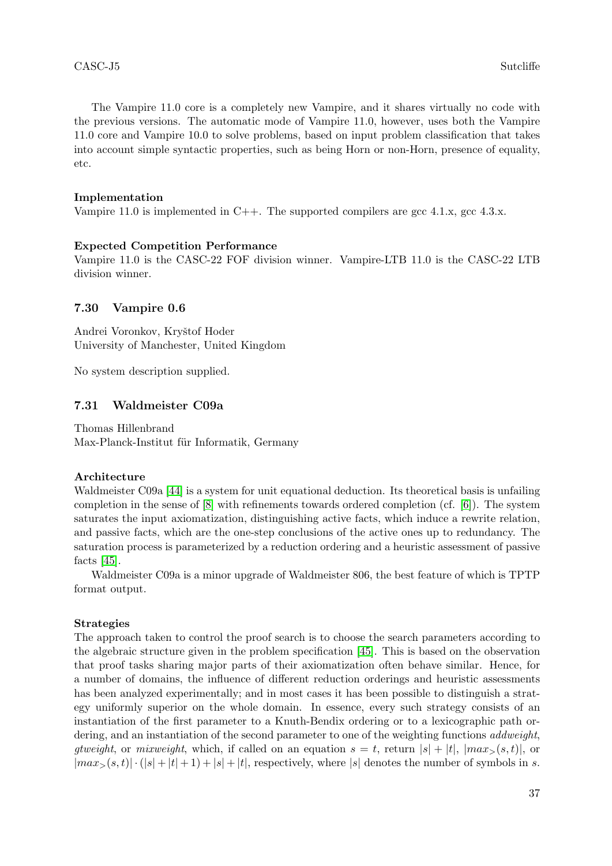The Vampire 11.0 core is a completely new Vampire, and it shares virtually no code with the previous versions. The automatic mode of Vampire 11.0, however, uses both the Vampire 11.0 core and Vampire 10.0 to solve problems, based on input problem classification that takes into account simple syntactic properties, such as being Horn or non-Horn, presence of equality, etc.

### Implementation

Vampire 11.0 is implemented in C++. The supported compilers are gcc  $4.1.x$ , gcc  $4.3.x$ .

### Expected Competition Performance

Vampire 11.0 is the CASC-22 FOF division winner. Vampire-LTB 11.0 is the CASC-22 LTB division winner.

### 7.30 Vampire 0.6

Andrei Voronkov, Kryštof Hoder University of Manchester, United Kingdom

No system description supplied.

### 7.31 Waldmeister C09a

Thomas Hillenbrand Max-Planck-Institut für Informatik, Germany

#### Architecture

Waldmeister C09a [\[44\]](#page-40-15) is a system for unit equational deduction. Its theoretical basis is unfailing completion in the sense of [\[8\]](#page-38-2) with refinements towards ordered completion (cf. [\[6\]](#page-38-9)). The system saturates the input axiomatization, distinguishing active facts, which induce a rewrite relation, and passive facts, which are the one-step conclusions of the active ones up to redundancy. The saturation process is parameterized by a reduction ordering and a heuristic assessment of passive facts [\[45\]](#page-40-16).

Waldmeister C09a is a minor upgrade of Waldmeister 806, the best feature of which is TPTP format output.

### Strategies

The approach taken to control the proof search is to choose the search parameters according to the algebraic structure given in the problem specification [\[45\]](#page-40-16). This is based on the observation that proof tasks sharing major parts of their axiomatization often behave similar. Hence, for a number of domains, the influence of different reduction orderings and heuristic assessments has been analyzed experimentally; and in most cases it has been possible to distinguish a strategy uniformly superior on the whole domain. In essence, every such strategy consists of an instantiation of the first parameter to a Knuth-Bendix ordering or to a lexicographic path ordering, and an instantiation of the second parameter to one of the weighting functions *addweight*, qtweight, or mixweight, which, if called on an equation  $s = t$ , return  $|s| + |t|$ ,  $|max_{s}(s,t)|$ , or  $|max_{>}(s,t)| \cdot (|s| + |t| + 1) + |s| + |t|$ , respectively, where  $|s|$  denotes the number of symbols in s.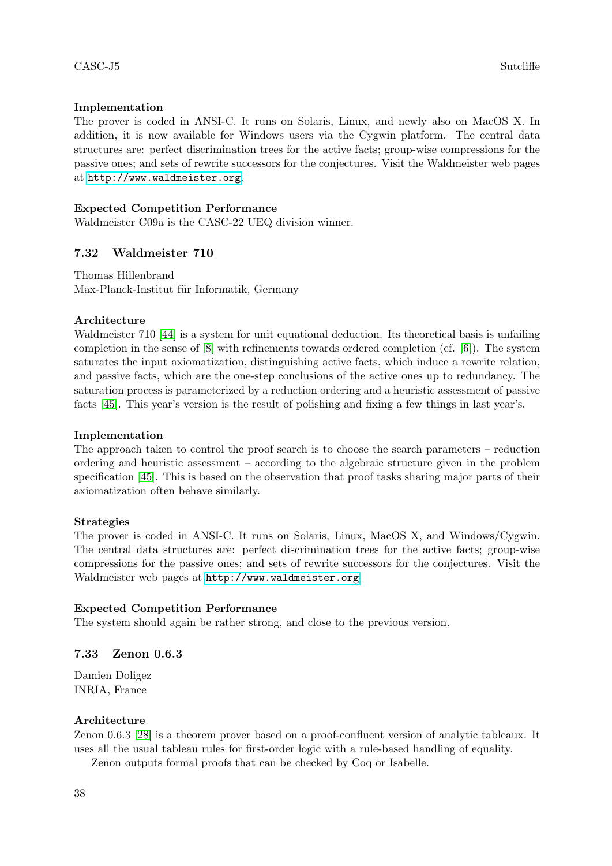# Implementation

The prover is coded in ANSI-C. It runs on Solaris, Linux, and newly also on MacOS X. In addition, it is now available for Windows users via the Cygwin platform. The central data structures are: perfect discrimination trees for the active facts; group-wise compressions for the passive ones; and sets of rewrite successors for the conjectures. Visit the Waldmeister web pages at <http://www.waldmeister.org>.

# Expected Competition Performance

Waldmeister C09a is the CASC-22 UEQ division winner.

# 7.32 Waldmeister 710

Thomas Hillenbrand Max-Planck-Institut für Informatik, Germany

# Architecture

Waldmeister 710 [\[44\]](#page-40-15) is a system for unit equational deduction. Its theoretical basis is unfailing completion in the sense of [\[8\]](#page-38-2) with refinements towards ordered completion (cf. [\[6\]](#page-38-9)). The system saturates the input axiomatization, distinguishing active facts, which induce a rewrite relation, and passive facts, which are the one-step conclusions of the active ones up to redundancy. The saturation process is parameterized by a reduction ordering and a heuristic assessment of passive facts [\[45\]](#page-40-16). This year's version is the result of polishing and fixing a few things in last year's.

# Implementation

The approach taken to control the proof search is to choose the search parameters – reduction ordering and heuristic assessment – according to the algebraic structure given in the problem specification [\[45\]](#page-40-16). This is based on the observation that proof tasks sharing major parts of their axiomatization often behave similarly.

# Strategies

The prover is coded in ANSI-C. It runs on Solaris, Linux, MacOS X, and Windows/Cygwin. The central data structures are: perfect discrimination trees for the active facts; group-wise compressions for the passive ones; and sets of rewrite successors for the conjectures. Visit the Waldmeister web pages at <http://www.waldmeister.org>.

# Expected Competition Performance

The system should again be rather strong, and close to the previous version.

# 7.33 Zenon 0.6.3

Damien Doligez INRIA, France

# Architecture

Zenon 0.6.3 [\[28\]](#page-39-17) is a theorem prover based on a proof-confluent version of analytic tableaux. It uses all the usual tableau rules for first-order logic with a rule-based handling of equality.

Zenon outputs formal proofs that can be checked by Coq or Isabelle.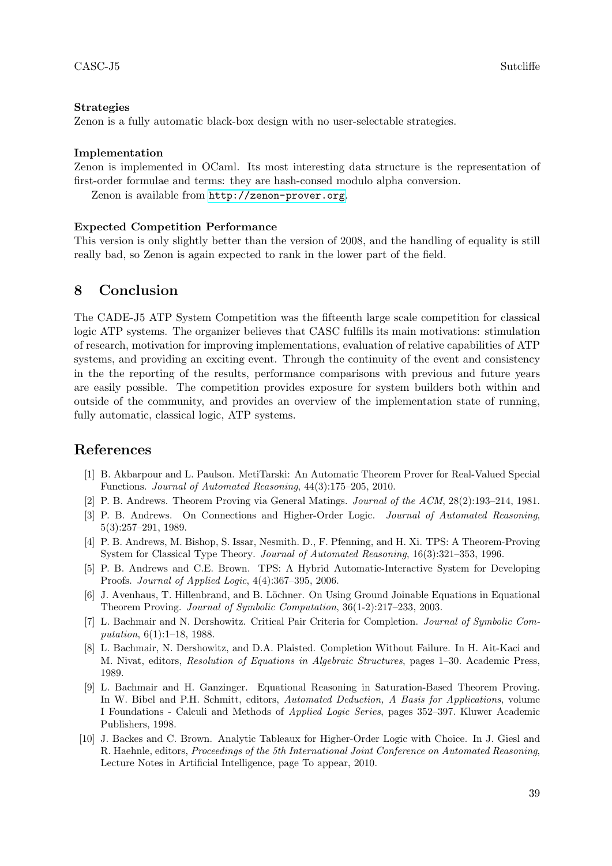### Strategies

Zenon is a fully automatic black-box design with no user-selectable strategies.

#### Implementation

Zenon is implemented in OCaml. Its most interesting data structure is the representation of first-order formulae and terms: they are hash-consed modulo alpha conversion.

Zenon is available from <http://zenon-prover.org>.

### Expected Competition Performance

This version is only slightly better than the version of 2008, and the handling of equality is still really bad, so Zenon is again expected to rank in the lower part of the field.

# 8 Conclusion

The CADE-J5 ATP System Competition was the fifteenth large scale competition for classical logic ATP systems. The organizer believes that CASC fulfills its main motivations: stimulation of research, motivation for improving implementations, evaluation of relative capabilities of ATP systems, and providing an exciting event. Through the continuity of the event and consistency in the the reporting of the results, performance comparisons with previous and future years are easily possible. The competition provides exposure for system builders both within and outside of the community, and provides an overview of the implementation state of running, fully automatic, classical logic, ATP systems.

# References

- <span id="page-38-1"></span>[1] B. Akbarpour and L. Paulson. MetiTarski: An Automatic Theorem Prover for Real-Valued Special Functions. Journal of Automated Reasoning, 44(3):175–205, 2010.
- <span id="page-38-7"></span>[2] P. B. Andrews. Theorem Proving via General Matings. Journal of the ACM, 28(2):193–214, 1981.
- <span id="page-38-8"></span>[3] P. B. Andrews. On Connections and Higher-Order Logic. Journal of Automated Reasoning, 5(3):257–291, 1989.
- <span id="page-38-5"></span>[4] P. B. Andrews, M. Bishop, S. Issar, Nesmith. D., F. Pfenning, and H. Xi. TPS: A Theorem-Proving System for Classical Type Theory. Journal of Automated Reasoning, 16(3):321–353, 1996.
- <span id="page-38-6"></span>[5] P. B. Andrews and C.E. Brown. TPS: A Hybrid Automatic-Interactive System for Developing Proofs. Journal of Applied Logic, 4(4):367–395, 2006.
- <span id="page-38-9"></span>[6] J. Avenhaus, T. Hillenbrand, and B. Löchner. On Using Ground Joinable Equations in Equational Theorem Proving. Journal of Symbolic Computation, 36(1-2):217–233, 2003.
- <span id="page-38-3"></span>[7] L. Bachmair and N. Dershowitz. Critical Pair Criteria for Completion. Journal of Symbolic Computation, 6(1):1–18, 1988.
- <span id="page-38-2"></span>[8] L. Bachmair, N. Dershowitz, and D.A. Plaisted. Completion Without Failure. In H. Ait-Kaci and M. Nivat, editors, Resolution of Equations in Algebraic Structures, pages 1–30. Academic Press, 1989.
- <span id="page-38-0"></span>[9] L. Bachmair and H. Ganzinger. Equational Reasoning in Saturation-Based Theorem Proving. In W. Bibel and P.H. Schmitt, editors, Automated Deduction, A Basis for Applications, volume I Foundations - Calculi and Methods of Applied Logic Series, pages 352–397. Kluwer Academic Publishers, 1998.
- <span id="page-38-4"></span>[10] J. Backes and C. Brown. Analytic Tableaux for Higher-Order Logic with Choice. In J. Giesl and R. Haehnle, editors, Proceedings of the 5th International Joint Conference on Automated Reasoning, Lecture Notes in Artificial Intelligence, page To appear, 2010.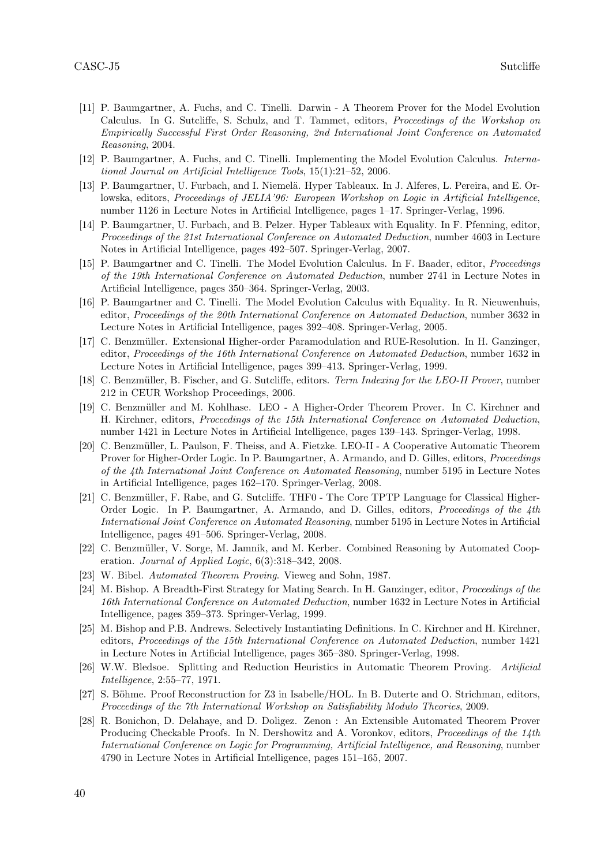- <span id="page-39-0"></span>[11] P. Baumgartner, A. Fuchs, and C. Tinelli. Darwin - A Theorem Prover for the Model Evolution Calculus. In G. Sutcliffe, S. Schulz, and T. Tammet, editors, Proceedings of the Workshop on Empirically Successful First Order Reasoning, 2nd International Joint Conference on Automated Reasoning, 2004.
- <span id="page-39-1"></span>[12] P. Baumgartner, A. Fuchs, and C. Tinelli. Implementing the Model Evolution Calculus. International Journal on Artificial Intelligence Tools, 15(1):21–52, 2006.
- <span id="page-39-5"></span>[13] P. Baumgartner, U. Furbach, and I. Niemelä. Hyper Tableaux. In J. Alferes, L. Pereira, and E. Orlowska, editors, Proceedings of JELIA'96: European Workshop on Logic in Artificial Intelligence, number 1126 in Lecture Notes in Artificial Intelligence, pages 1–17. Springer-Verlag, 1996.
- <span id="page-39-4"></span>[14] P. Baumgartner, U. Furbach, and B. Pelzer. Hyper Tableaux with Equality. In F. Pfenning, editor, Proceedings of the 21st International Conference on Automated Deduction, number 4603 in Lecture Notes in Artificial Intelligence, pages 492–507. Springer-Verlag, 2007.
- <span id="page-39-2"></span>[15] P. Baumgartner and C. Tinelli. The Model Evolution Calculus. In F. Baader, editor, Proceedings of the 19th International Conference on Automated Deduction, number 2741 in Lecture Notes in Artificial Intelligence, pages 350–364. Springer-Verlag, 2003.
- <span id="page-39-3"></span>[16] P. Baumgartner and C. Tinelli. The Model Evolution Calculus with Equality. In R. Nieuwenhuis, editor, Proceedings of the 20th International Conference on Automated Deduction, number 3632 in Lecture Notes in Artificial Intelligence, pages 392–408. Springer-Verlag, 2005.
- <span id="page-39-10"></span>[17] C. Benzmüller. Extensional Higher-order Paramodulation and RUE-Resolution. In H. Ganzinger, editor, Proceedings of the 16th International Conference on Automated Deduction, number 1632 in Lecture Notes in Artificial Intelligence, pages 399–413. Springer-Verlag, 1999.
- <span id="page-39-12"></span>[18] C. Benzmüller, B. Fischer, and G. Sutcliffe, editors. Term Indexing for the LEO-II Prover, number 212 in CEUR Workshop Proceedings, 2006.
- <span id="page-39-9"></span>[19] C. Benzmüller and M. Kohlhase. LEO - A Higher-Order Theorem Prover. In C. Kirchner and H. Kirchner, editors, Proceedings of the 15th International Conference on Automated Deduction, number 1421 in Lecture Notes in Artificial Intelligence, pages 139–143. Springer-Verlag, 1998.
- <span id="page-39-8"></span>[20] C. Benzmüller, L. Paulson, F. Theiss, and A. Fietzke. LEO-II - A Cooperative Automatic Theorem Prover for Higher-Order Logic. In P. Baumgartner, A. Armando, and D. Gilles, editors, Proceedings of the 4th International Joint Conference on Automated Reasoning, number 5195 in Lecture Notes in Artificial Intelligence, pages 162–170. Springer-Verlag, 2008.
- <span id="page-39-11"></span>[21] C. Benzmüller, F. Rabe, and G. Sutcliffe. THF0 - The Core TPTP Language for Classical Higher-Order Logic. In P. Baumgartner, A. Armando, and D. Gilles, editors, Proceedings of the 4th International Joint Conference on Automated Reasoning, number 5195 in Lecture Notes in Artificial Intelligence, pages 491–506. Springer-Verlag, 2008.
- <span id="page-39-13"></span>[22] C. Benzmüller, V. Sorge, M. Jamnik, and M. Kerber. Combined Reasoning by Automated Cooperation. Journal of Applied Logic, 6(3):318–342, 2008.
- <span id="page-39-7"></span>[23] W. Bibel. Automated Theorem Proving. Vieweg and Sohn, 1987.
- <span id="page-39-16"></span>[24] M. Bishop. A Breadth-First Strategy for Mating Search. In H. Ganzinger, editor, *Proceedings of the* 16th International Conference on Automated Deduction, number 1632 in Lecture Notes in Artificial Intelligence, pages 359–373. Springer-Verlag, 1999.
- <span id="page-39-15"></span>[25] M. Bishop and P.B. Andrews. Selectively Instantiating Definitions. In C. Kirchner and H. Kirchner, editors, Proceedings of the 15th International Conference on Automated Deduction, number 1421 in Lecture Notes in Artificial Intelligence, pages 365–380. Springer-Verlag, 1998.
- <span id="page-39-14"></span>[26] W.W. Bledsoe. Splitting and Reduction Heuristics in Automatic Theorem Proving. Artificial Intelligence, 2:55–77, 1971.
- <span id="page-39-6"></span>[27] S. Böhme. Proof Reconstruction for Z3 in Isabelle/HOL. In B. Duterte and O. Strichman, editors, Proceedings of the 7th International Workshop on Satisfiability Modulo Theories, 2009.
- <span id="page-39-17"></span>[28] R. Bonichon, D. Delahaye, and D. Doligez. Zenon : An Extensible Automated Theorem Prover Producing Checkable Proofs. In N. Dershowitz and A. Voronkov, editors, *Proceedings of the 14th* International Conference on Logic for Programming, Artificial Intelligence, and Reasoning, number 4790 in Lecture Notes in Artificial Intelligence, pages 151–165, 2007.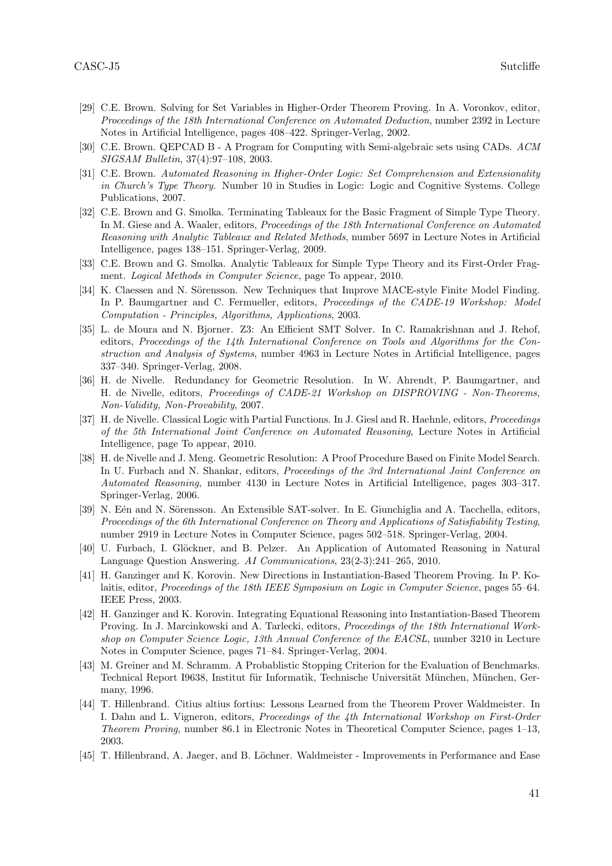- <span id="page-40-14"></span>[29] C.E. Brown. Solving for Set Variables in Higher-Order Theorem Proving. In A. Voronkov, editor, Proceedings of the 18th International Conference on Automated Deduction, number 2392 in Lecture Notes in Artificial Intelligence, pages 408–422. Springer-Verlag, 2002.
- <span id="page-40-9"></span>[30] C.E. Brown. QEPCAD B - A Program for Computing with Semi-algebraic sets using CADs. ACM SIGSAM Bulletin, 37(4):97–108, 2003.
- <span id="page-40-13"></span>[31] C.E. Brown. Automated Reasoning in Higher-Order Logic: Set Comprehension and Extensionality in Church's Type Theory. Number 10 in Studies in Logic: Logic and Cognitive Systems. College Publications, 2007.
- <span id="page-40-12"></span>[32] C.E. Brown and G. Smolka. Terminating Tableaux for the Basic Fragment of Simple Type Theory. In M. Giese and A. Waaler, editors, *Proceedings of the 18th International Conference on Automated* Reasoning with Analytic Tableaux and Related Methods, number 5697 in Lecture Notes in Artificial Intelligence, pages 138–151. Springer-Verlag, 2009.
- <span id="page-40-11"></span>[33] C.E. Brown and G. Smolka. Analytic Tableaux for Simple Type Theory and its First-Order Fragment. Logical Methods in Computer Science, page To appear, 2010.
- <span id="page-40-10"></span>[34] K. Claessen and N. Sörensson. New Techniques that Improve MACE-style Finite Model Finding. In P. Baumgartner and C. Fermueller, editors, *Proceedings of the CADE-19 Workshop: Model* Computation - Principles, Algorithms, Applications, 2003.
- <span id="page-40-8"></span>[35] L. de Moura and N. Bjorner. Z3: An Efficient SMT Solver. In C. Ramakrishnan and J. Rehof, editors, Proceedings of the 14th International Conference on Tools and Algorithms for the Construction and Analysis of Systems, number 4963 in Lecture Notes in Artificial Intelligence, pages 337–340. Springer-Verlag, 2008.
- <span id="page-40-3"></span>[36] H. de Nivelle. Redundancy for Geometric Resolution. In W. Ahrendt, P. Baumgartner, and H. de Nivelle, editors, Proceedings of CADE-21 Workshop on DISPROVING - Non-Theorems, Non-Validity, Non-Provability, 2007.
- <span id="page-40-4"></span>[37] H. de Nivelle. Classical Logic with Partial Functions. In J. Giesl and R. Haehnle, editors, Proceedings of the 5th International Joint Conference on Automated Reasoning, Lecture Notes in Artificial Intelligence, page To appear, 2010.
- <span id="page-40-2"></span>[38] H. de Nivelle and J. Meng. Geometric Resolution: A Proof Procedure Based on Finite Model Search. In U. Furbach and N. Shankar, editors, *Proceedings of the 3rd International Joint Conference on* Automated Reasoning, number 4130 in Lecture Notes in Artificial Intelligence, pages 303–317. Springer-Verlag, 2006.
- <span id="page-40-6"></span>[39] N. Eén and N. Sörensson. An Extensible SAT-solver. In E. Giunchiglia and A. Tacchella, editors, Proceedings of the 6th International Conference on Theory and Applications of Satisfiability Testing, number 2919 in Lecture Notes in Computer Science, pages 502–518. Springer-Verlag, 2004.
- <span id="page-40-1"></span>[40] U. Furbach, I. Glöckner, and B. Pelzer. An Application of Automated Reasoning in Natural Language Question Answering. AI Communications, 23(2-3):241–265, 2010.
- <span id="page-40-5"></span>[41] H. Ganzinger and K. Korovin. New Directions in Instantiation-Based Theorem Proving. In P. Kolaitis, editor, Proceedings of the 18th IEEE Symposium on Logic in Computer Science, pages 55–64. IEEE Press, 2003.
- <span id="page-40-7"></span>[42] H. Ganzinger and K. Korovin. Integrating Equational Reasoning into Instantiation-Based Theorem Proving. In J. Marcinkowski and A. Tarlecki, editors, Proceedings of the 18th International Workshop on Computer Science Logic, 13th Annual Conference of the EACSL, number 3210 in Lecture Notes in Computer Science, pages 71–84. Springer-Verlag, 2004.
- <span id="page-40-0"></span>[43] M. Greiner and M. Schramm. A Probablistic Stopping Criterion for the Evaluation of Benchmarks. Technical Report I9638, Institut für Informatik, Technische Universität München, München, Germany, 1996.
- <span id="page-40-15"></span>[44] T. Hillenbrand. Citius altius fortius: Lessons Learned from the Theorem Prover Waldmeister. In I. Dahn and L. Vigneron, editors, Proceedings of the 4th International Workshop on First-Order Theorem Proving, number 86.1 in Electronic Notes in Theoretical Computer Science, pages 1–13, 2003.
- <span id="page-40-16"></span>[45] T. Hillenbrand, A. Jaeger, and B. Löchner. Waldmeister - Improvements in Performance and Ease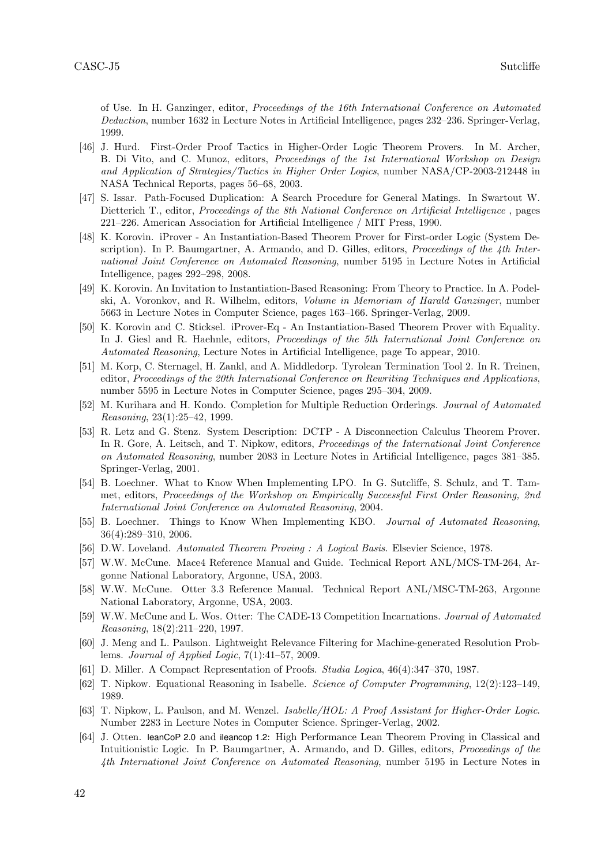of Use. In H. Ganzinger, editor, Proceedings of the 16th International Conference on Automated Deduction, number 1632 in Lecture Notes in Artificial Intelligence, pages 232–236. Springer-Verlag, 1999.

- <span id="page-41-9"></span>[46] J. Hurd. First-Order Proof Tactics in Higher-Order Logic Theorem Provers. In M. Archer, B. Di Vito, and C. Munoz, editors, Proceedings of the 1st International Workshop on Design and Application of Strategies/Tactics in Higher Order Logics, number NASA/CP-2003-212448 in NASA Technical Reports, pages 56–68, 2003.
- <span id="page-41-18"></span>[47] S. Issar. Path-Focused Duplication: A Search Procedure for General Matings. In Swartout W. Dietterich T., editor, *Proceedings of the 8th National Conference on Artificial Intelligence*, pages 221–226. American Association for Artificial Intelligence / MIT Press, 1990.
- <span id="page-41-5"></span>[48] K. Korovin. iProver - An Instantiation-Based Theorem Prover for First-order Logic (System Description). In P. Baumgartner, A. Armando, and D. Gilles, editors, *Proceedings of the 4th Inter*national Joint Conference on Automated Reasoning, number 5195 in Lecture Notes in Artificial Intelligence, pages 292–298, 2008.
- <span id="page-41-4"></span>[49] K. Korovin. An Invitation to Instantiation-Based Reasoning: From Theory to Practice. In A. Podelski, A. Voronkov, and R. Wilhelm, editors, Volume in Memoriam of Harald Ganzinger, number 5663 in Lecture Notes in Computer Science, pages 163–166. Springer-Verlag, 2009.
- <span id="page-41-6"></span>[50] K. Korovin and C. Sticksel. iProver-Eq - An Instantiation-Based Theorem Prover with Equality. In J. Giesl and R. Haehnle, editors, *Proceedings of the 5th International Joint Conference on* Automated Reasoning, Lecture Notes in Artificial Intelligence, page To appear, 2010.
- <span id="page-41-14"></span>[51] M. Korp, C. Sternagel, H. Zankl, and A. Middledorp. Tyrolean Termination Tool 2. In R. Treinen, editor, Proceedings of the 20th International Conference on Rewriting Techniques and Applications, number 5595 in Lecture Notes in Computer Science, pages 295–304, 2009.
- <span id="page-41-13"></span>[52] M. Kurihara and H. Kondo. Completion for Multiple Reduction Orderings. Journal of Automated Reasoning, 23(1):25–42, 1999.
- <span id="page-41-12"></span>[53] R. Letz and G. Stenz. System Description: DCTP - A Disconnection Calculus Theorem Prover. In R. Gore, A. Leitsch, and T. Nipkow, editors, Proceedings of the International Joint Conference on Automated Reasoning, number 2083 in Lecture Notes in Artificial Intelligence, pages 381–385. Springer-Verlag, 2001.
- <span id="page-41-1"></span>[54] B. Loechner. What to Know When Implementing LPO. In G. Sutcliffe, S. Schulz, and T. Tammet, editors, Proceedings of the Workshop on Empirically Successful First Order Reasoning, 2nd International Joint Conference on Automated Reasoning, 2004.
- <span id="page-41-2"></span>[55] B. Loechner. Things to Know When Implementing KBO. Journal of Automated Reasoning, 36(4):289–310, 2006.
- <span id="page-41-10"></span>[56] D.W. Loveland. Automated Theorem Proving : A Logical Basis. Elsevier Science, 1978.
- <span id="page-41-16"></span>[57] W.W. McCune. Mace4 Reference Manual and Guide. Technical Report ANL/MCS-TM-264, Argonne National Laboratory, Argonne, USA, 2003.
- <span id="page-41-3"></span>[58] W.W. McCune. Otter 3.3 Reference Manual. Technical Report ANL/MSC-TM-263, Argonne National Laboratory, Argonne, USA, 2003.
- <span id="page-41-15"></span>[59] W.W. McCune and L. Wos. Otter: The CADE-13 Competition Incarnations. Journal of Automated Reasoning, 18(2):211–220, 1997.
- <span id="page-41-0"></span>[60] J. Meng and L. Paulson. Lightweight Relevance Filtering for Machine-generated Resolution Problems. Journal of Applied Logic, 7(1):41–57, 2009.
- <span id="page-41-17"></span>[61] D. Miller. A Compact Representation of Proofs. Studia Logica, 46(4):347–370, 1987.
- <span id="page-41-8"></span>[62] T. Nipkow. Equational Reasoning in Isabelle. Science of Computer Programming, 12(2):123–149, 1989.
- <span id="page-41-7"></span>[63] T. Nipkow, L. Paulson, and M. Wenzel. Isabelle/HOL: A Proof Assistant for Higher-Order Logic. Number 2283 in Lecture Notes in Computer Science. Springer-Verlag, 2002.
- <span id="page-41-11"></span>[64] J. Otten. leanCoP 2.0 and ileancop 1.2: High Performance Lean Theorem Proving in Classical and Intuitionistic Logic. In P. Baumgartner, A. Armando, and D. Gilles, editors, Proceedings of the 4th International Joint Conference on Automated Reasoning, number 5195 in Lecture Notes in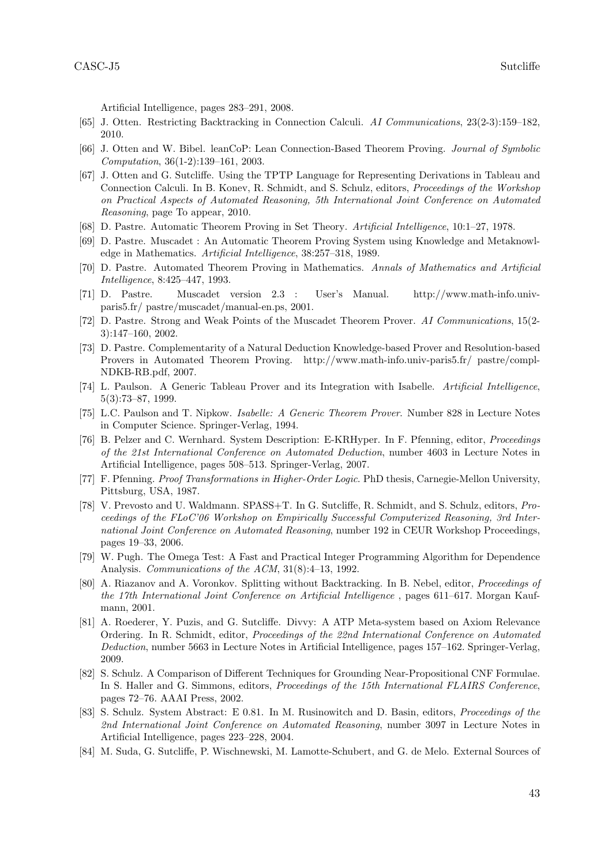Artificial Intelligence, pages 283–291, 2008.

- <span id="page-42-8"></span>[65] J. Otten. Restricting Backtracking in Connection Calculi. AI Communications, 23(2-3):159–182, 2010.
- <span id="page-42-7"></span>[66] J. Otten and W. Bibel. leanCoP: Lean Connection-Based Theorem Proving. Journal of Symbolic Computation, 36(1-2):139–161, 2003.
- <span id="page-42-9"></span>[67] J. Otten and G. Sutcliffe. Using the TPTP Language for Representing Derivations in Tableau and Connection Calculi. In B. Konev, R. Schmidt, and S. Schulz, editors, Proceedings of the Workshop on Practical Aspects of Automated Reasoning, 5th International Joint Conference on Automated Reasoning, page To appear, 2010.
- <span id="page-42-11"></span>[68] D. Pastre. Automatic Theorem Proving in Set Theory. Artificial Intelligence, 10:1–27, 1978.
- <span id="page-42-12"></span>[69] D. Pastre. Muscadet : An Automatic Theorem Proving System using Knowledge and Metaknowledge in Mathematics. Artificial Intelligence, 38:257–318, 1989.
- <span id="page-42-13"></span>[70] D. Pastre. Automated Theorem Proving in Mathematics. Annals of Mathematics and Artificial Intelligence, 8:425–447, 1993.
- <span id="page-42-14"></span>[71] D. Pastre. Muscadet version 2.3 : User's Manual. http://www.math-info.univparis5.fr/ pastre/muscadet/manual-en.ps, 2001.
- <span id="page-42-15"></span>[72] D. Pastre. Strong and Weak Points of the Muscadet Theorem Prover. AI Communications, 15(2- 3):147–160, 2002.
- <span id="page-42-16"></span>[73] D. Pastre. Complementarity of a Natural Deduction Knowledge-based Prover and Resolution-based Provers in Automated Theorem Proving. http://www.math-info.univ-paris5.fr/ pastre/compl-NDKB-RB.pdf, 2007.
- <span id="page-42-6"></span>[74] L. Paulson. A Generic Tableau Prover and its Integration with Isabelle. Artificial Intelligence, 5(3):73–87, 1999.
- <span id="page-42-5"></span>[75] L.C. Paulson and T. Nipkow. Isabelle: A Generic Theorem Prover. Number 828 in Lecture Notes in Computer Science. Springer-Verlag, 1994.
- <span id="page-42-3"></span>[76] B. Pelzer and C. Wernhard. System Description: E-KRHyper. In F. Pfenning, editor, Proceedings of the 21st International Conference on Automated Deduction, number 4603 in Lecture Notes in Artificial Intelligence, pages 508–513. Springer-Verlag, 2007.
- <span id="page-42-19"></span>[77] F. Pfenning. Proof Transformations in Higher-Order Logic. PhD thesis, Carnegie-Mellon University, Pittsburg, USA, 1987.
- <span id="page-42-17"></span>[78] V. Prevosto and U. Waldmann. SPASS+T. In G. Sutcliffe, R. Schmidt, and S. Schulz, editors, Proceedings of the FLoC'06 Workshop on Empirically Successful Computerized Reasoning, 3rd International Joint Conference on Automated Reasoning, number 192 in CEUR Workshop Proceedings, pages 19–33, 2006.
- <span id="page-42-10"></span>[79] W. Pugh. The Omega Test: A Fast and Practical Integer Programming Algorithm for Dependence Analysis. Communications of the ACM, 31(8):4–13, 1992.
- <span id="page-42-4"></span>[80] A. Riazanov and A. Voronkov. Splitting without Backtracking. In B. Nebel, editor, Proceedings of the 17th International Joint Conference on Artificial Intelligence , pages 611–617. Morgan Kaufmann, 2001.
- <span id="page-42-0"></span>[81] A. Roederer, Y. Puzis, and G. Sutcliffe. Divvy: A ATP Meta-system based on Axiom Relevance Ordering. In R. Schmidt, editor, Proceedings of the 22nd International Conference on Automated Deduction, number 5663 in Lecture Notes in Artificial Intelligence, pages 157–162. Springer-Verlag, 2009.
- <span id="page-42-1"></span>[82] S. Schulz. A Comparison of Different Techniques for Grounding Near-Propositional CNF Formulae. In S. Haller and G. Simmons, editors, *Proceedings of the 15th International FLAIRS Conference*, pages 72–76. AAAI Press, 2002.
- <span id="page-42-2"></span>[83] S. Schulz. System Abstract: E 0.81. In M. Rusinowitch and D. Basin, editors, *Proceedings of the* 2nd International Joint Conference on Automated Reasoning, number 3097 in Lecture Notes in Artificial Intelligence, pages 223–228, 2004.
- <span id="page-42-18"></span>[84] M. Suda, G. Sutcliffe, P. Wischnewski, M. Lamotte-Schubert, and G. de Melo. External Sources of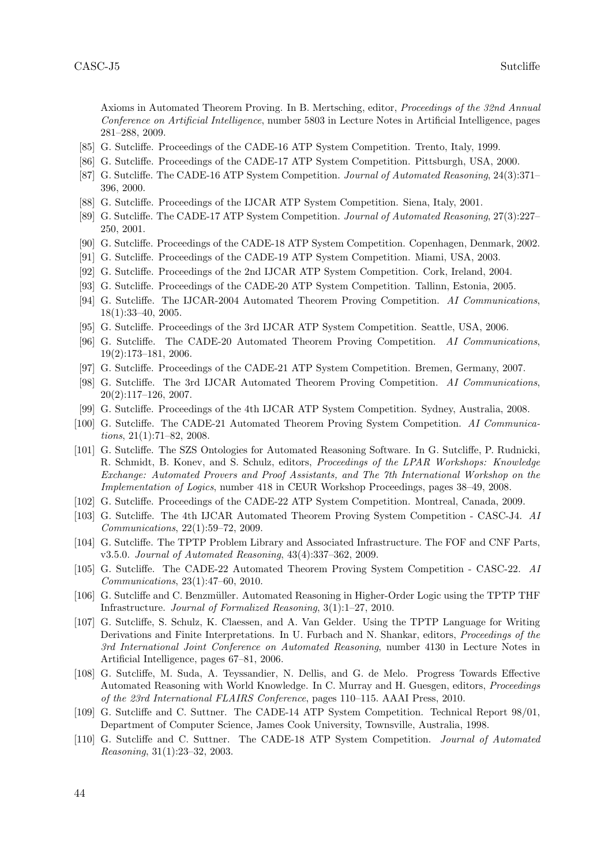Axioms in Automated Theorem Proving. In B. Mertsching, editor, Proceedings of the 32nd Annual Conference on Artificial Intelligence, number 5803 in Lecture Notes in Artificial Intelligence, pages 281–288, 2009.

- <span id="page-43-11"></span>[85] G. Sutcliffe. Proceedings of the CADE-16 ATP System Competition. Trento, Italy, 1999.
- <span id="page-43-12"></span>[86] G. Sutcliffe. Proceedings of the CADE-17 ATP System Competition. Pittsburgh, USA, 2000.
- <span id="page-43-0"></span>[87] G. Sutcliffe. The CADE-16 ATP System Competition. Journal of Automated Reasoning, 24(3):371– 396, 2000.
- <span id="page-43-13"></span>[88] G. Sutcliffe. Proceedings of the IJCAR ATP System Competition. Siena, Italy, 2001.
- <span id="page-43-1"></span>[89] G. Sutcliffe. The CADE-17 ATP System Competition. Journal of Automated Reasoning, 27(3):227– 250, 2001.
- <span id="page-43-14"></span>[90] G. Sutcliffe. Proceedings of the CADE-18 ATP System Competition. Copenhagen, Denmark, 2002.
- <span id="page-43-15"></span>[91] G. Sutcliffe. Proceedings of the CADE-19 ATP System Competition. Miami, USA, 2003.
- <span id="page-43-16"></span>[92] G. Sutcliffe. Proceedings of the 2nd IJCAR ATP System Competition. Cork, Ireland, 2004.
- <span id="page-43-17"></span>[93] G. Sutcliffe. Proceedings of the CADE-20 ATP System Competition. Tallinn, Estonia, 2005.
- <span id="page-43-3"></span>[94] G. Sutcliffe. The IJCAR-2004 Automated Theorem Proving Competition. AI Communications, 18(1):33–40, 2005.
- <span id="page-43-18"></span>[95] G. Sutcliffe. Proceedings of the 3rd IJCAR ATP System Competition. Seattle, USA, 2006.
- <span id="page-43-4"></span>[96] G. Sutcliffe. The CADE-20 Automated Theorem Proving Competition. AI Communications, 19(2):173–181, 2006.
- <span id="page-43-19"></span>[97] G. Sutcliffe. Proceedings of the CADE-21 ATP System Competition. Bremen, Germany, 2007.
- <span id="page-43-5"></span>[98] G. Sutcliffe. The 3rd IJCAR Automated Theorem Proving Competition. AI Communications, 20(2):117–126, 2007.
- <span id="page-43-20"></span>[99] G. Sutcliffe. Proceedings of the 4th IJCAR ATP System Competition. Sydney, Australia, 2008.
- <span id="page-43-6"></span>[100] G. Sutcliffe. The CADE-21 Automated Theorem Proving System Competition. AI Communications, 21(1):71–82, 2008.
- <span id="page-43-22"></span>[101] G. Sutcliffe. The SZS Ontologies for Automated Reasoning Software. In G. Sutcliffe, P. Rudnicki, R. Schmidt, B. Konev, and S. Schulz, editors, Proceedings of the LPAR Workshops: Knowledge Exchange: Automated Provers and Proof Assistants, and The 7th International Workshop on the Implementation of Logics, number 418 in CEUR Workshop Proceedings, pages 38–49, 2008.
- <span id="page-43-21"></span>[102] G. Sutcliffe. Proceedings of the CADE-22 ATP System Competition. Montreal, Canada, 2009.
- <span id="page-43-7"></span>[103] G. Sutcliffe. The 4th IJCAR Automated Theorem Proving System Competition - CASC-J4. AI Communications, 22(1):59–72, 2009.
- <span id="page-43-9"></span>[104] G. Sutcliffe. The TPTP Problem Library and Associated Infrastructure. The FOF and CNF Parts, v3.5.0. Journal of Automated Reasoning, 43(4):337–362, 2009.
- <span id="page-43-8"></span>[105] G. Sutcliffe. The CADE-22 Automated Theorem Proving System Competition - CASC-22. AI Communications, 23(1):47–60, 2010.
- <span id="page-43-24"></span>[106] G. Sutcliffe and C. Benzmüller. Automated Reasoning in Higher-Order Logic using the TPTP THF Infrastructure. Journal of Formalized Reasoning, 3(1):1–27, 2010.
- <span id="page-43-23"></span>[107] G. Sutcliffe, S. Schulz, K. Claessen, and A. Van Gelder. Using the TPTP Language for Writing Derivations and Finite Interpretations. In U. Furbach and N. Shankar, editors, *Proceedings of the* 3rd International Joint Conference on Automated Reasoning, number 4130 in Lecture Notes in Artificial Intelligence, pages 67–81, 2006.
- <span id="page-43-25"></span>[108] G. Sutcliffe, M. Suda, A. Teyssandier, N. Dellis, and G. de Melo. Progress Towards Effective Automated Reasoning with World Knowledge. In C. Murray and H. Guesgen, editors, Proceedings of the 23rd International FLAIRS Conference, pages 110–115. AAAI Press, 2010.
- <span id="page-43-10"></span>[109] G. Sutcliffe and C. Suttner. The CADE-14 ATP System Competition. Technical Report 98/01, Department of Computer Science, James Cook University, Townsville, Australia, 1998.
- <span id="page-43-2"></span>[110] G. Sutcliffe and C. Suttner. The CADE-18 ATP System Competition. Journal of Automated Reasoning, 31(1):23–32, 2003.